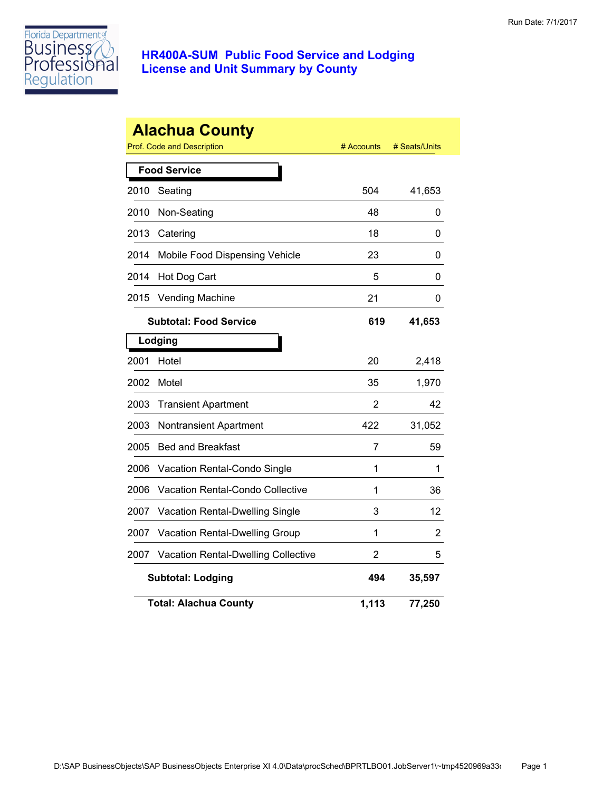

|      | <b>Alachua County</b><br>Prof. Code and Description | # Accounts     | # Seats/Units |
|------|-----------------------------------------------------|----------------|---------------|
|      | <b>Food Service</b>                                 |                |               |
| 2010 | Seating                                             | 504            | 41,653        |
| 2010 | Non-Seating                                         | 48             | 0             |
| 2013 | Catering                                            | 18             | 0             |
| 2014 | Mobile Food Dispensing Vehicle                      | 23             | 0             |
| 2014 | Hot Dog Cart                                        | 5              | 0             |
| 2015 | <b>Vending Machine</b>                              | 21             | 0             |
|      | <b>Subtotal: Food Service</b>                       | 619            | 41,653        |
|      | Lodging                                             |                |               |
| 2001 | Hotel                                               | 20             | 2,418         |
| 2002 | Motel                                               | 35             | 1,970         |
| 2003 | <b>Transient Apartment</b>                          | 2              | 42            |
| 2003 | <b>Nontransient Apartment</b>                       | 422            | 31,052        |
| 2005 | <b>Bed and Breakfast</b>                            | 7              | 59            |
| 2006 | Vacation Rental-Condo Single                        | 1              | 1             |
| 2006 | <b>Vacation Rental-Condo Collective</b>             | 1              | 36            |
| 2007 | Vacation Rental-Dwelling Single                     | 3              | 12            |
| 2007 | Vacation Rental-Dwelling Group                      | 1              | 2             |
| 2007 | <b>Vacation Rental-Dwelling Collective</b>          | $\overline{2}$ | 5             |
|      | <b>Subtotal: Lodging</b>                            | 494            | 35,597        |
|      | <b>Total: Alachua County</b>                        | 1,113          | 77,250        |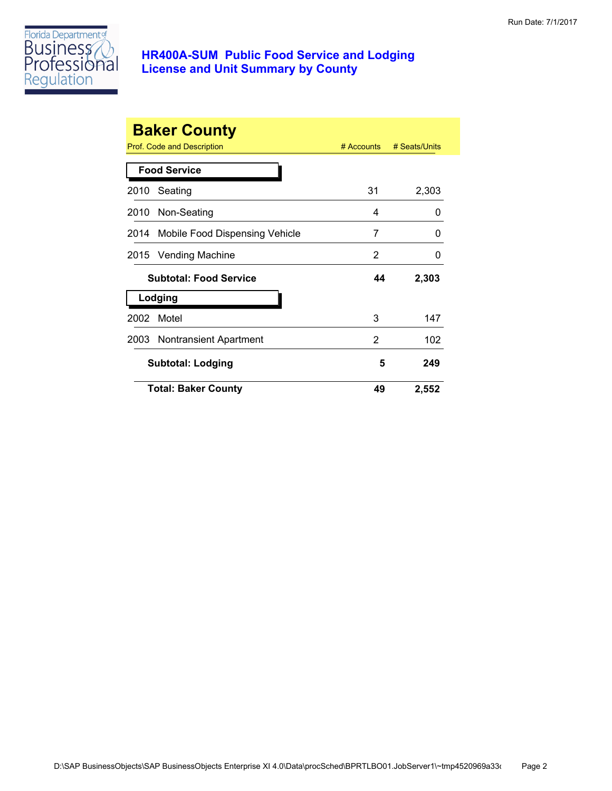

|      | <b>Baker County</b><br>Prof. Code and Description | $#$ Accounts | # Seats/Units |
|------|---------------------------------------------------|--------------|---------------|
|      | <b>Food Service</b>                               |              |               |
| 2010 | Seating                                           | 31           | 2,303         |
|      | 2010 Non-Seating                                  | 4            | 0             |
|      | 2014 Mobile Food Dispensing Vehicle               | 7            | 0             |
| 2015 | Vending Machine                                   | 2            | 0             |
|      | <b>Subtotal: Food Service</b>                     | 44           | 2,303         |
|      | Lodging                                           |              |               |
| 2002 | Motel                                             | 3            | 147           |
|      | 2003 Nontransient Apartment                       | 2            | 102           |
|      | <b>Subtotal: Lodging</b>                          | 5            | 249           |
|      | <b>Total: Baker County</b>                        | 49           | 2,552         |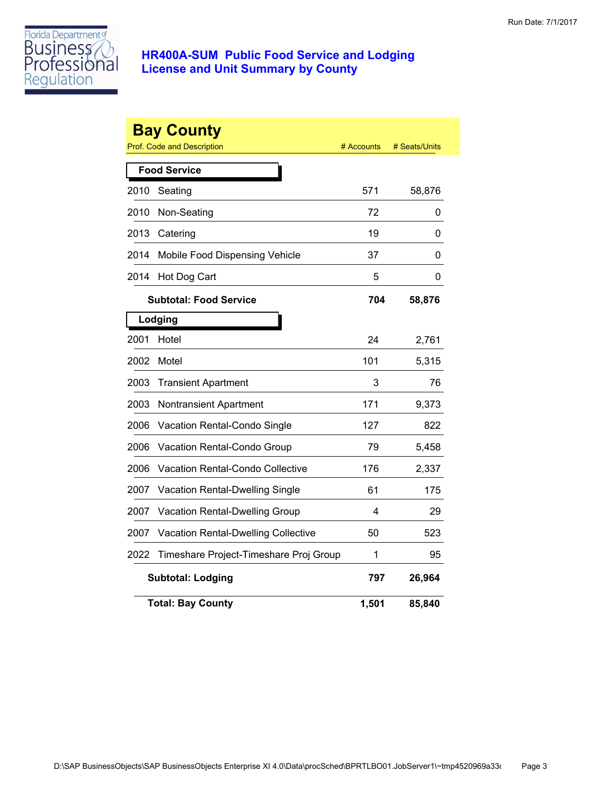

|      | <b>Bay County</b><br><b>Prof. Code and Description</b> | # Accounts | # Seats/Units |
|------|--------------------------------------------------------|------------|---------------|
|      | <b>Food Service</b>                                    |            |               |
| 2010 | Seating                                                | 571        | 58,876        |
| 2010 | Non-Seating                                            | 72         | 0             |
| 2013 | Catering                                               | 19         | 0             |
| 2014 | Mobile Food Dispensing Vehicle                         | 37         | 0             |
| 2014 | Hot Dog Cart                                           | 5          | 0             |
|      | <b>Subtotal: Food Service</b>                          | 704        | 58,876        |
|      | Lodging                                                |            |               |
| 2001 | Hotel                                                  | 24         | 2,761         |
| 2002 | Motel                                                  | 101        | 5,315         |
| 2003 | <b>Transient Apartment</b>                             | 3          | 76            |
| 2003 | Nontransient Apartment                                 | 171        | 9,373         |
| 2006 | Vacation Rental-Condo Single                           | 127        | 822           |
| 2006 | Vacation Rental-Condo Group                            | 79         | 5,458         |
| 2006 | Vacation Rental-Condo Collective                       | 176        | 2,337         |
| 2007 | Vacation Rental-Dwelling Single                        | 61         | 175           |
| 2007 | Vacation Rental-Dwelling Group                         | 4          | 29            |
| 2007 | <b>Vacation Rental-Dwelling Collective</b>             | 50         | 523           |
| 2022 | Timeshare Project-Timeshare Proj Group                 | 1          | 95            |
|      | <b>Subtotal: Lodging</b>                               | 797        | 26,964        |
|      | <b>Total: Bay County</b>                               | 1,501      | 85,840        |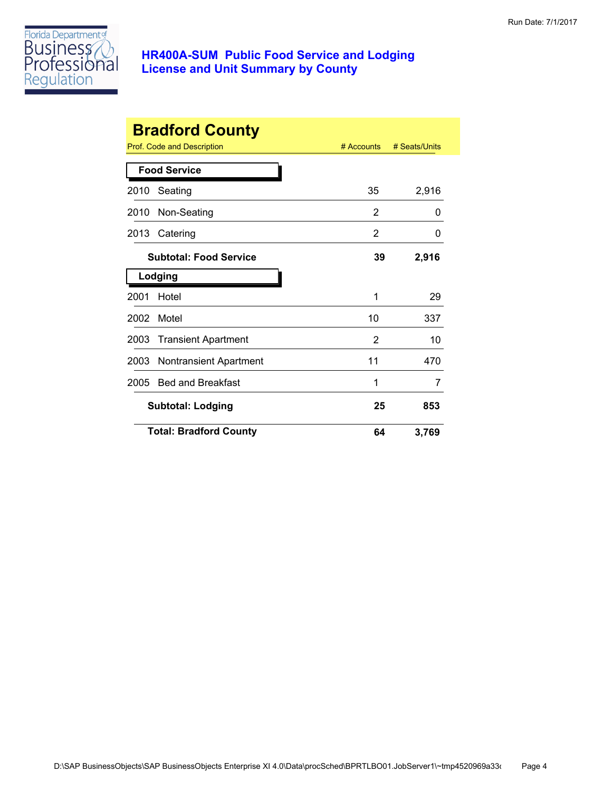

|      | <b>Bradford County</b>        |              |               |
|------|-------------------------------|--------------|---------------|
|      | Prof. Code and Description    | $#$ Accounts | # Seats/Units |
|      | <b>Food Service</b>           |              |               |
| 2010 | Seating                       | 35           | 2,916         |
| 2010 | Non-Seating                   | 2            | 0             |
| 2013 | Catering                      | 2            | O             |
|      | <b>Subtotal: Food Service</b> | 39           | 2,916         |
|      | Lodging                       |              |               |
| 2001 | Hotel                         | 1            | 29            |
| 2002 | Motel                         | 10           | 337           |
| 2003 | <b>Transient Apartment</b>    | 2            | 10            |
| 2003 | <b>Nontransient Apartment</b> | 11           | 470           |
| 2005 | <b>Bed and Breakfast</b>      | 1            | 7             |
|      | <b>Subtotal: Lodging</b>      | 25           | 853           |
|      | <b>Total: Bradford County</b> | 64           | 3,769         |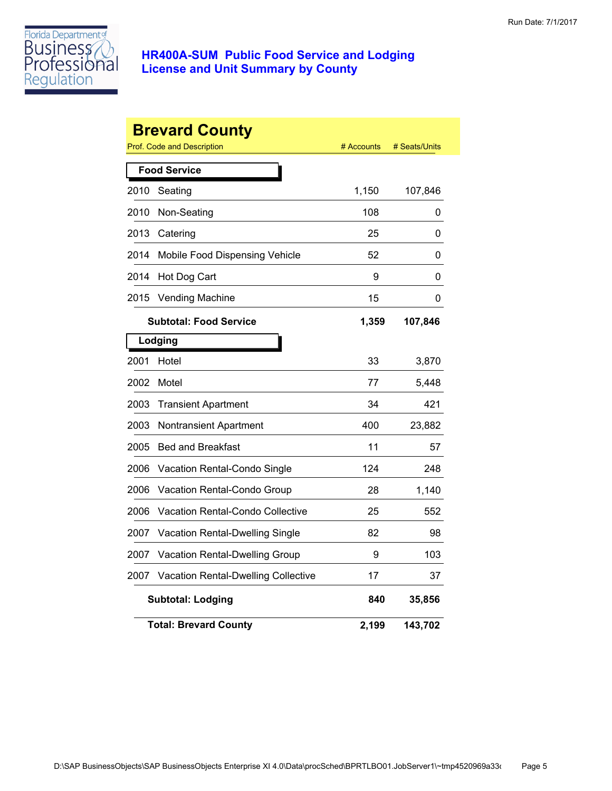

|      | <b>Brevard County</b><br>Prof. Code and Description | # Accounts | # Seats/Units |
|------|-----------------------------------------------------|------------|---------------|
|      | <b>Food Service</b>                                 |            |               |
| 2010 | Seating                                             | 1,150      | 107,846       |
| 2010 | Non-Seating                                         | 108        | 0             |
| 2013 | Catering                                            | 25         | 0             |
| 2014 | Mobile Food Dispensing Vehicle                      | 52         | 0             |
| 2014 | Hot Dog Cart                                        | 9          | 0             |
| 2015 | <b>Vending Machine</b>                              | 15         | 0             |
|      | <b>Subtotal: Food Service</b>                       | 1,359      | 107,846       |
|      | Lodging                                             |            |               |
| 2001 | Hotel                                               | 33         | 3,870         |
| 2002 | Motel                                               | 77         | 5,448         |
| 2003 | <b>Transient Apartment</b>                          | 34         | 421           |
| 2003 | Nontransient Apartment                              | 400        | 23,882        |
| 2005 | <b>Bed and Breakfast</b>                            | 11         | 57            |
| 2006 | Vacation Rental-Condo Single                        | 124        | 248           |
| 2006 | Vacation Rental-Condo Group                         | 28         | 1,140         |
| 2006 | Vacation Rental-Condo Collective                    | 25         | 552           |
| 2007 | <b>Vacation Rental-Dwelling Single</b>              | 82         | 98            |
| 2007 | Vacation Rental-Dwelling Group                      | 9          | 103           |
| 2007 | <b>Vacation Rental-Dwelling Collective</b>          | 17         | 37            |
|      | <b>Subtotal: Lodging</b>                            | 840        | 35,856        |
|      | <b>Total: Brevard County</b>                        | 2,199      | 143,702       |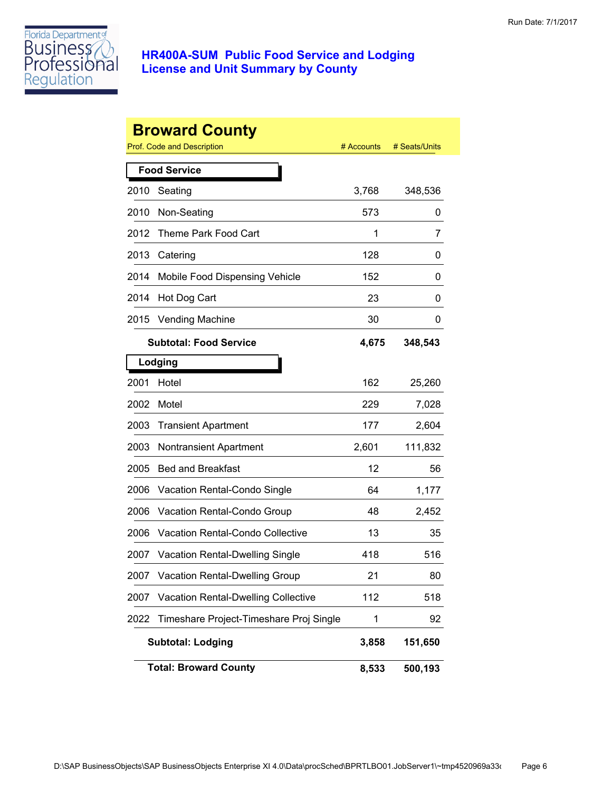

|      | <b>Broward County</b>                      |            |               |
|------|--------------------------------------------|------------|---------------|
|      | Prof. Code and Description                 | # Accounts | # Seats/Units |
|      | <b>Food Service</b>                        |            |               |
| 2010 | Seating                                    | 3,768      | 348,536       |
| 2010 | Non-Seating                                | 573        | 0             |
| 2012 | Theme Park Food Cart                       | 1          | 7             |
| 2013 | Catering                                   | 128        | 0             |
| 2014 | Mobile Food Dispensing Vehicle             | 152        | 0             |
| 2014 | Hot Dog Cart                               | 23         | 0             |
| 2015 | <b>Vending Machine</b>                     | 30         | 0             |
|      | <b>Subtotal: Food Service</b>              | 4,675      | 348,543       |
|      | Lodging                                    |            |               |
| 2001 | Hotel                                      | 162        | 25,260        |
| 2002 | Motel                                      | 229        | 7,028         |
| 2003 | <b>Transient Apartment</b>                 | 177        | 2,604         |
| 2003 | <b>Nontransient Apartment</b>              | 2,601      | 111,832       |
| 2005 | <b>Bed and Breakfast</b>                   | 12         | 56            |
| 2006 | Vacation Rental-Condo Single               | 64         | 1,177         |
| 2006 | Vacation Rental-Condo Group                | 48         | 2,452         |
| 2006 | Vacation Rental-Condo Collective           | 13         | 35            |
| 2007 | <b>Vacation Rental-Dwelling Single</b>     | 418        | 516           |
| 2007 | <b>Vacation Rental-Dwelling Group</b>      | 21         | 80            |
| 2007 | <b>Vacation Rental-Dwelling Collective</b> | 112        | 518           |
| 2022 | Timeshare Project-Timeshare Proj Single    | 1          | 92            |
|      | <b>Subtotal: Lodging</b>                   | 3,858      | 151,650       |
|      | <b>Total: Broward County</b>               | 8,533      | 500,193       |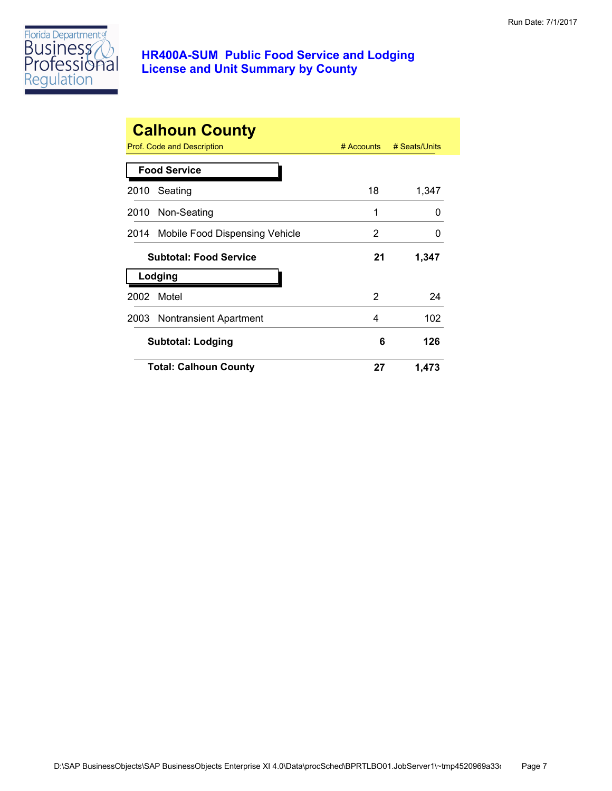

| <b>Calhoun County</b><br>Prof. Code and Description | # Accounts | # Seats/Units |
|-----------------------------------------------------|------------|---------------|
| <b>Food Service</b>                                 |            |               |
| Seating<br>2010                                     | 18         | 1,347         |
| 2010 Non-Seating                                    | 1          | O             |
| 2014 Mobile Food Dispensing Vehicle                 | 2          | O             |
| <b>Subtotal: Food Service</b>                       | 21         | 1,347         |
| Lodging                                             |            |               |
| Motel<br>2002                                       | 2          | 24            |
| 2003 Nontransient Apartment                         | 4          | 102           |
| Subtotal: Lodging                                   | 6          | 126           |
| <b>Total: Calhoun County</b>                        | 27         | 1,473         |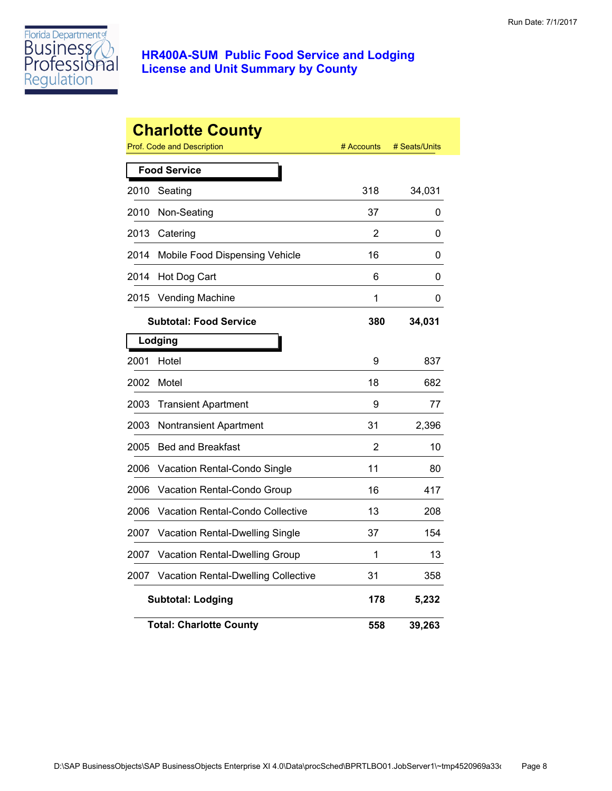

|      | <b>Charlotte County</b><br>Prof. Code and Description | # Accounts | # Seats/Units |
|------|-------------------------------------------------------|------------|---------------|
|      | <b>Food Service</b>                                   |            |               |
| 2010 | Seating                                               | 318        | 34,031        |
| 2010 | Non-Seating                                           | 37         | 0             |
| 2013 | Catering                                              | 2          | 0             |
| 2014 | Mobile Food Dispensing Vehicle                        | 16         | 0             |
| 2014 | Hot Dog Cart                                          | 6          | 0             |
| 2015 | <b>Vending Machine</b>                                | 1          | 0             |
|      | <b>Subtotal: Food Service</b>                         | 380        | 34,031        |
|      | Lodging                                               |            |               |
| 2001 | Hotel                                                 | 9          | 837           |
| 2002 | Motel                                                 | 18         | 682           |
| 2003 | <b>Transient Apartment</b>                            | 9          | 77            |
| 2003 | Nontransient Apartment                                | 31         | 2,396         |
| 2005 | <b>Bed and Breakfast</b>                              | 2          | 10            |
| 2006 | Vacation Rental-Condo Single                          | 11         | 80            |
| 2006 | Vacation Rental-Condo Group                           | 16         | 417           |
| 2006 | Vacation Rental-Condo Collective                      | 13         | 208           |
| 2007 | Vacation Rental-Dwelling Single                       | 37         | 154           |
| 2007 | Vacation Rental-Dwelling Group                        | 1          | 13            |
| 2007 | <b>Vacation Rental-Dwelling Collective</b>            | 31         | 358           |
|      | <b>Subtotal: Lodging</b>                              | 178        | 5,232         |
|      | <b>Total: Charlotte County</b>                        | 558        | 39,263        |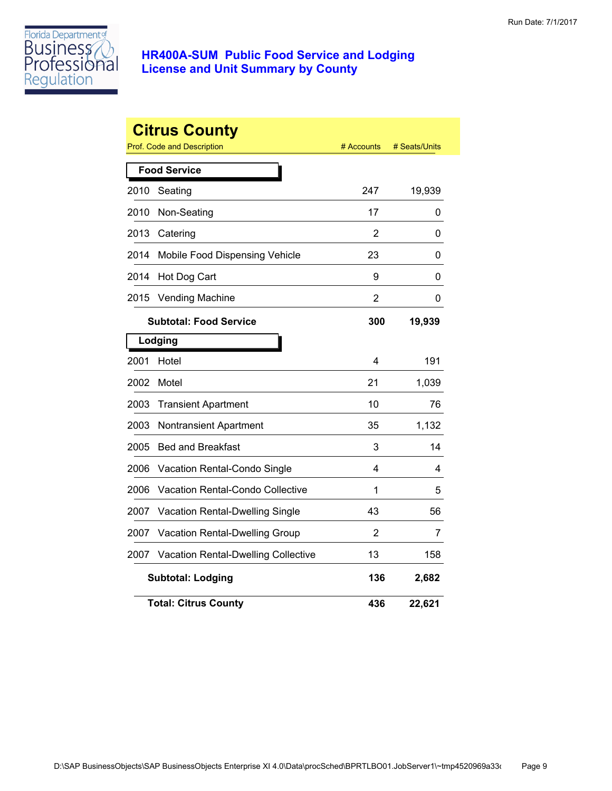

|      | <b>Citrus County</b><br><b>Prof. Code and Description</b> | # Accounts     | # Seats/Units |
|------|-----------------------------------------------------------|----------------|---------------|
|      | <b>Food Service</b>                                       |                |               |
| 2010 | Seating                                                   | 247            | 19,939        |
| 2010 | Non-Seating                                               | 17             | 0             |
| 2013 | Catering                                                  | 2              | 0             |
| 2014 | Mobile Food Dispensing Vehicle                            | 23             | 0             |
| 2014 | Hot Dog Cart                                              | 9              | 0             |
| 2015 | <b>Vending Machine</b>                                    | 2              | 0             |
|      | <b>Subtotal: Food Service</b>                             | 300            | 19,939        |
|      | Lodging                                                   |                |               |
| 2001 | Hotel                                                     | 4              | 191           |
| 2002 | Motel                                                     | 21             | 1,039         |
| 2003 | <b>Transient Apartment</b>                                | 10             | 76            |
| 2003 | <b>Nontransient Apartment</b>                             | 35             | 1,132         |
| 2005 | <b>Bed and Breakfast</b>                                  | 3              | 14            |
| 2006 | Vacation Rental-Condo Single                              | 4              | 4             |
| 2006 | <b>Vacation Rental-Condo Collective</b>                   | 1              | 5             |
| 2007 | Vacation Rental-Dwelling Single                           | 43             | 56            |
| 2007 | Vacation Rental-Dwelling Group                            | $\overline{2}$ | 7             |
| 2007 | <b>Vacation Rental-Dwelling Collective</b>                | 13             | 158           |
|      | <b>Subtotal: Lodging</b>                                  | 136            | 2,682         |
|      | <b>Total: Citrus County</b>                               | 436            | 22,621        |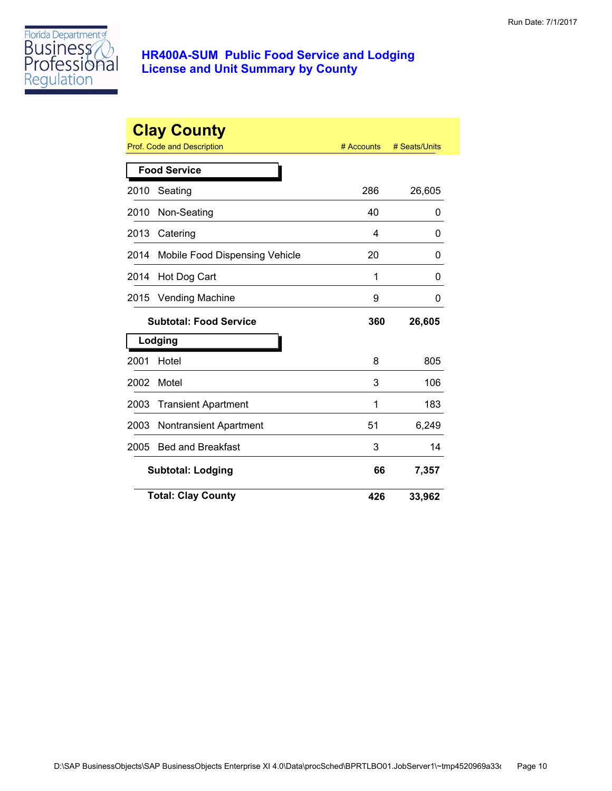

|      | <b>Clay County</b><br>Prof. Code and Description | # Accounts | # Seats/Units |
|------|--------------------------------------------------|------------|---------------|
|      | <b>Food Service</b>                              |            |               |
| 2010 | Seating                                          | 286        | 26,605        |
| 2010 | Non-Seating                                      | 40         | 0             |
| 2013 | Catering                                         | 4          | 0             |
| 2014 | Mobile Food Dispensing Vehicle                   | 20         | 0             |
| 2014 | Hot Dog Cart                                     | 1          | 0             |
| 2015 | <b>Vending Machine</b>                           | 9          | 0             |
|      | <b>Subtotal: Food Service</b>                    | 360        | 26,605        |
|      | Lodging                                          |            |               |
| 2001 | Hotel                                            | 8          | 805           |
| 2002 | Motel                                            | 3          | 106           |
| 2003 | <b>Transient Apartment</b>                       | 1          | 183           |
| 2003 | Nontransient Apartment                           | 51         | 6,249         |
| 2005 | <b>Bed and Breakfast</b>                         | 3          | 14            |
|      | <b>Subtotal: Lodging</b>                         | 66         | 7,357         |
|      | <b>Total: Clay County</b>                        | 426        | 33,962        |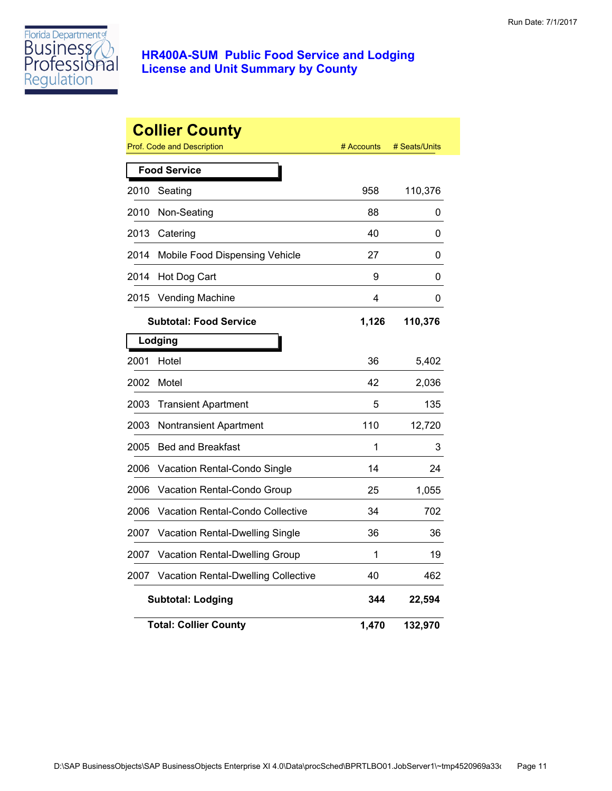

|      | <b>Collier County</b><br><b>Prof. Code and Description</b> | # Accounts | # Seats/Units |
|------|------------------------------------------------------------|------------|---------------|
|      | <b>Food Service</b>                                        |            |               |
| 2010 | Seating                                                    | 958        | 110,376       |
| 2010 | Non-Seating                                                | 88         | 0             |
| 2013 | Catering                                                   | 40         | 0             |
| 2014 | Mobile Food Dispensing Vehicle                             | 27         | 0             |
| 2014 | Hot Dog Cart                                               | 9          | 0             |
| 2015 | <b>Vending Machine</b>                                     | 4          | 0             |
|      | <b>Subtotal: Food Service</b>                              | 1,126      | 110,376       |
|      | Lodging                                                    |            |               |
| 2001 | Hotel                                                      | 36         | 5,402         |
| 2002 | Motel                                                      | 42         | 2,036         |
| 2003 | <b>Transient Apartment</b>                                 | 5          | 135           |
| 2003 | Nontransient Apartment                                     | 110        | 12,720        |
| 2005 | <b>Bed and Breakfast</b>                                   | 1          | 3             |
| 2006 | Vacation Rental-Condo Single                               | 14         | 24            |
| 2006 | Vacation Rental-Condo Group                                | 25         | 1,055         |
| 2006 | <b>Vacation Rental-Condo Collective</b>                    | 34         | 702           |
| 2007 | <b>Vacation Rental-Dwelling Single</b>                     | 36         | 36            |
| 2007 | Vacation Rental-Dwelling Group                             | 1          | 19            |
| 2007 | <b>Vacation Rental-Dwelling Collective</b>                 | 40         | 462           |
|      | <b>Subtotal: Lodging</b>                                   | 344        | 22,594        |
|      | <b>Total: Collier County</b>                               | 1,470      | 132,970       |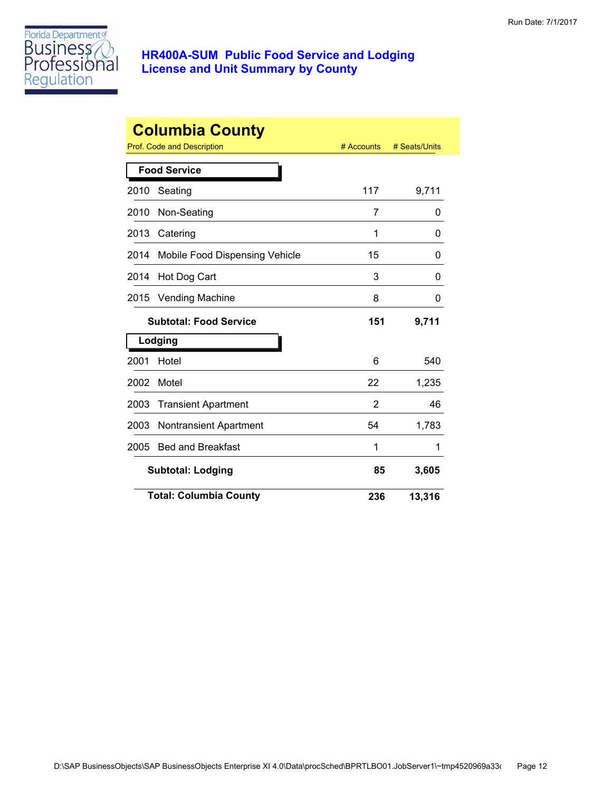

|      | <b>Columbia County</b><br>Prof. Code and Description | # Accounts | # Seats/Units |
|------|------------------------------------------------------|------------|---------------|
|      | <b>Food Service</b>                                  |            |               |
| 2010 | Seating                                              | 117        | 9,711         |
| 2010 | Non-Seating                                          | 7          | 0             |
| 2013 | Catering                                             | 1          | 0             |
| 2014 | Mobile Food Dispensing Vehicle                       | 15         | 0             |
| 2014 | Hot Dog Cart                                         | 3          | O             |
| 2015 | <b>Vending Machine</b>                               | 8          | 0             |
|      | <b>Subtotal: Food Service</b>                        | 151        | 9,711         |
|      | Lodging                                              |            |               |
| 2001 | Hotel                                                | 6          | 540           |
| 2002 | Motel                                                | 22         | 1,235         |
| 2003 | <b>Transient Apartment</b>                           | 2          | 46            |
| 2003 | <b>Nontransient Apartment</b>                        | 54         | 1,783         |
| 2005 | <b>Bed and Breakfast</b>                             | 1          | 1             |
|      | <b>Subtotal: Lodging</b>                             | 85         | 3,605         |
|      | <b>Total: Columbia County</b>                        | 236        | 13,316        |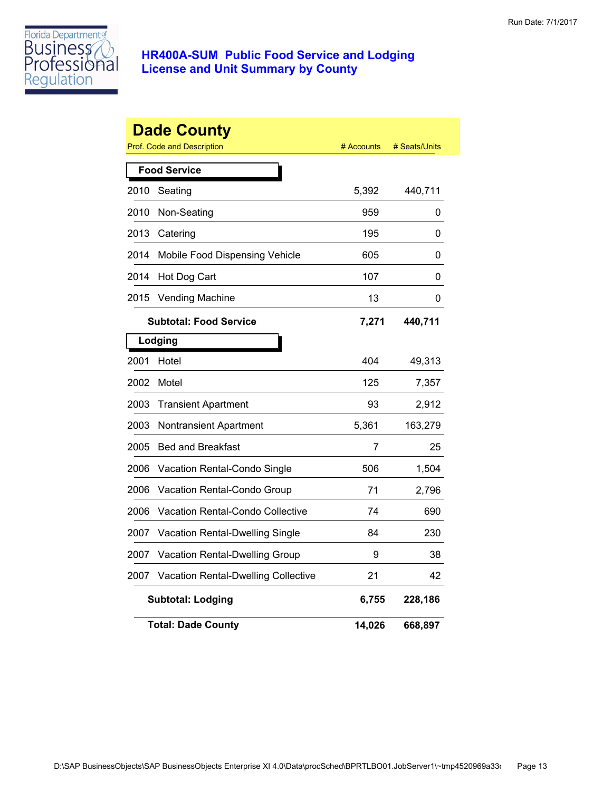

|      | <b>Dade County</b><br>Prof. Code and Description | # Accounts | # Seats/Units |
|------|--------------------------------------------------|------------|---------------|
|      | <b>Food Service</b>                              |            |               |
| 2010 | Seating                                          | 5,392      | 440,711       |
| 2010 | Non-Seating                                      | 959        | 0             |
| 2013 | Catering                                         | 195        | 0             |
| 2014 | Mobile Food Dispensing Vehicle                   | 605        | 0             |
| 2014 | Hot Dog Cart                                     | 107        | 0             |
| 2015 | <b>Vending Machine</b>                           | 13         | 0             |
|      | <b>Subtotal: Food Service</b>                    | 7,271      | 440,711       |
|      | Lodging                                          |            |               |
| 2001 | Hotel                                            | 404        | 49,313        |
| 2002 | Motel                                            | 125        | 7,357         |
| 2003 | <b>Transient Apartment</b>                       | 93         | 2,912         |
| 2003 | <b>Nontransient Apartment</b>                    | 5,361      | 163,279       |
| 2005 | <b>Bed and Breakfast</b>                         | 7          | 25            |
| 2006 | Vacation Rental-Condo Single                     | 506        | 1,504         |
| 2006 | Vacation Rental-Condo Group                      | 71         | 2,796         |
| 2006 | Vacation Rental-Condo Collective                 | 74         | 690           |
| 2007 | Vacation Rental-Dwelling Single                  | 84         | 230           |
| 2007 | Vacation Rental-Dwelling Group                   | 9          | 38            |
| 2007 | Vacation Rental-Dwelling Collective              | 21         | 42            |
|      | <b>Subtotal: Lodging</b>                         | 6,755      | 228,186       |
|      | <b>Total: Dade County</b>                        | 14,026     | 668,897       |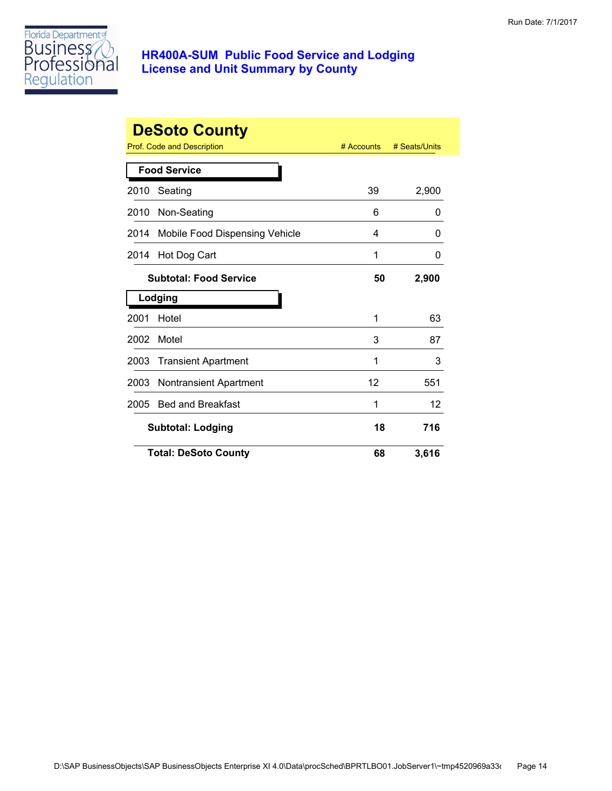

|      | <b>DeSoto County</b>           |            |               |
|------|--------------------------------|------------|---------------|
|      | Prof. Code and Description     | # Accounts | # Seats/Units |
|      | <b>Food Service</b>            |            |               |
| 2010 | Seating                        | 39         | 2,900         |
| 2010 | Non-Seating                    | 6          | 0             |
| 2014 | Mobile Food Dispensing Vehicle | 4          | 0             |
| 2014 | Hot Dog Cart                   | 1          | 0             |
|      | <b>Subtotal: Food Service</b>  | 50         | 2,900         |
|      | Lodging                        |            |               |
| 2001 | Hotel                          | 1          | 63            |
| 2002 | Motel                          | 3          | 87            |
| 2003 | <b>Transient Apartment</b>     | 1          | 3             |
| 2003 | <b>Nontransient Apartment</b>  | 12         | 551           |
| 2005 | <b>Bed and Breakfast</b>       | 1          | 12            |
|      | <b>Subtotal: Lodging</b>       | 18         | 716           |
|      | <b>Total: DeSoto County</b>    | 68         | 3,616         |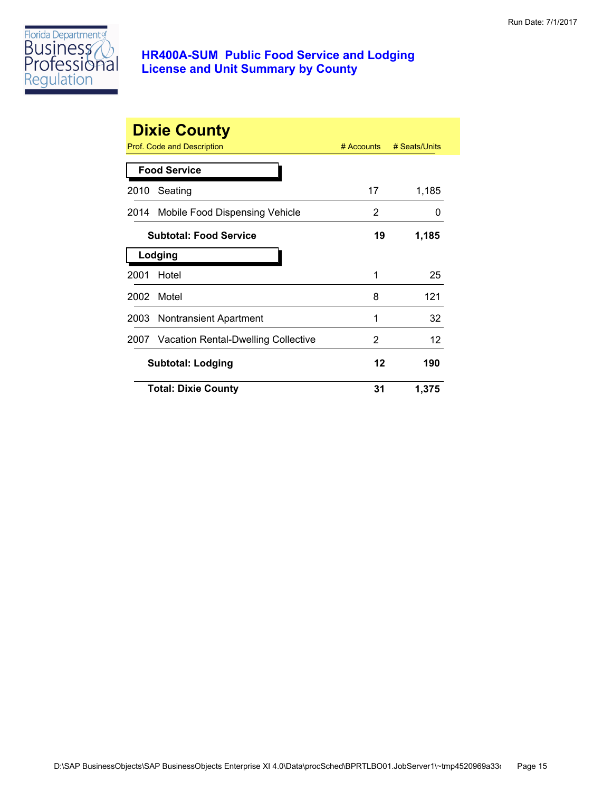

|      | <b>Dixie County</b><br>Prof. Code and Description | $#$ Accounts | # Seats/Units |
|------|---------------------------------------------------|--------------|---------------|
|      | <b>Food Service</b>                               |              |               |
| 2010 | Seating                                           | 17           | 1,185         |
|      | 2014 Mobile Food Dispensing Vehicle               | 2            | 0             |
|      | <b>Subtotal: Food Service</b>                     | 19           | 1,185         |
|      | Lodging                                           |              |               |
| 2001 | Hotel                                             | 1            | 25            |
| 2002 | Motel                                             | 8            | 121           |
|      | 2003 Nontransient Apartment                       | 1            | 32            |
|      | 2007 Vacation Rental-Dwelling Collective          | 2            | 12            |
|      | <b>Subtotal: Lodging</b>                          | 12           | 190           |
|      | <b>Total: Dixie County</b>                        | 31           | 1,375         |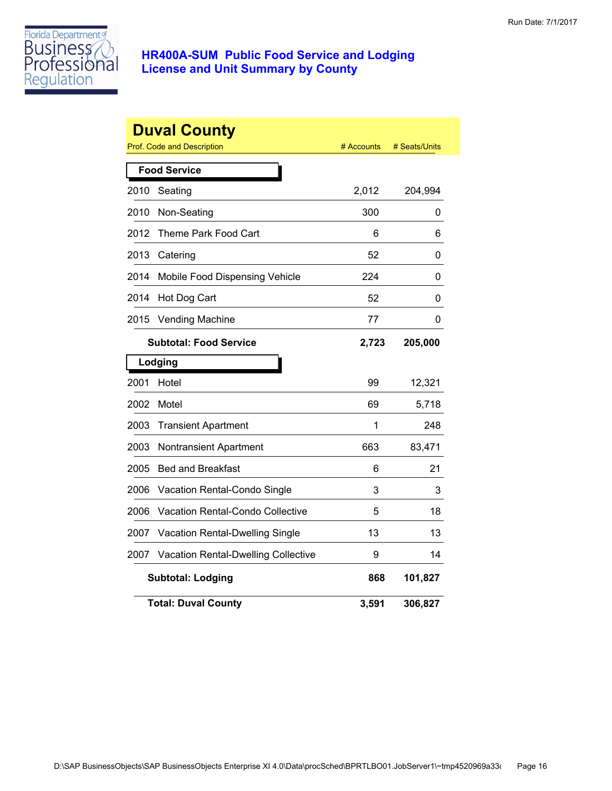

|      | <b>Duval County</b><br>Prof. Code and Description | # Accounts | # Seats/Units |
|------|---------------------------------------------------|------------|---------------|
|      | <b>Food Service</b>                               |            |               |
| 2010 | Seating                                           | 2,012      | 204,994       |
| 2010 | Non-Seating                                       | 300        | 0             |
| 2012 | Theme Park Food Cart                              | 6          | 6             |
| 2013 | Catering                                          | 52         | 0             |
| 2014 | Mobile Food Dispensing Vehicle                    | 224        | 0             |
| 2014 | Hot Dog Cart                                      | 52         | 0             |
| 2015 | <b>Vending Machine</b>                            | 77         | 0             |
|      | <b>Subtotal: Food Service</b>                     | 2,723      | 205,000       |
|      | Lodging                                           |            |               |
| 2001 | Hotel                                             | 99         | 12,321        |
| 2002 | Motel                                             | 69         | 5,718         |
| 2003 | <b>Transient Apartment</b>                        | 1          | 248           |
| 2003 | Nontransient Apartment                            | 663        | 83,471        |
| 2005 | <b>Bed and Breakfast</b>                          | 6          | 21            |
| 2006 | Vacation Rental-Condo Single                      | 3          | 3             |
| 2006 | Vacation Rental-Condo Collective                  | 5          | 18            |
| 2007 | Vacation Rental-Dwelling Single                   | 13         | 13            |
| 2007 | <b>Vacation Rental-Dwelling Collective</b>        | 9          | 14            |
|      | <b>Subtotal: Lodging</b>                          | 868        | 101,827       |
|      | <b>Total: Duval County</b>                        | 3,591      | 306,827       |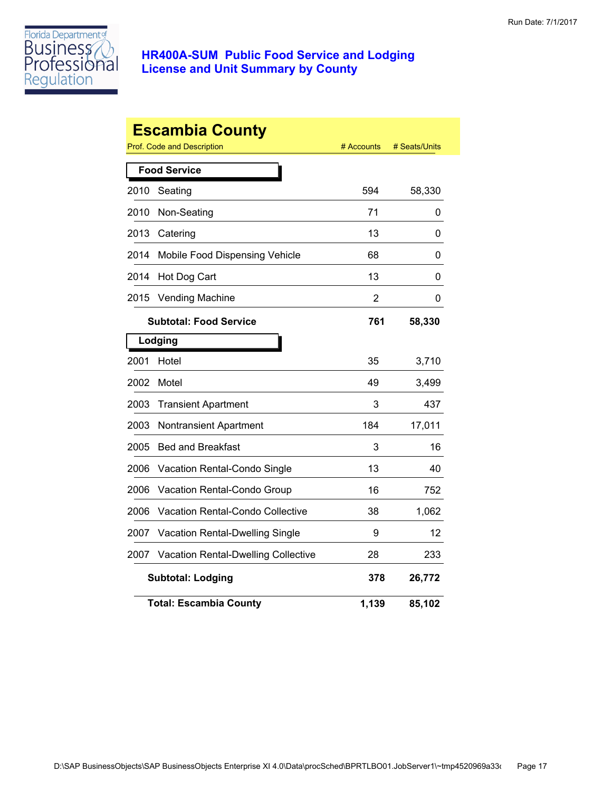

|      | <b>Escambia County</b><br>Prof. Code and Description | # Accounts | # Seats/Units |
|------|------------------------------------------------------|------------|---------------|
|      | <b>Food Service</b>                                  |            |               |
| 2010 | Seating                                              | 594        | 58,330        |
| 2010 | Non-Seating                                          | 71         | 0             |
| 2013 | Catering                                             | 13         | 0             |
| 2014 | Mobile Food Dispensing Vehicle                       | 68         | 0             |
| 2014 | Hot Dog Cart                                         | 13         | 0             |
| 2015 | <b>Vending Machine</b>                               | 2          | 0             |
|      | <b>Subtotal: Food Service</b>                        | 761        | 58,330        |
|      | Lodging                                              |            |               |
| 2001 | Hotel                                                | 35         | 3,710         |
| 2002 | Motel                                                | 49         | 3,499         |
| 2003 | <b>Transient Apartment</b>                           | 3          | 437           |
| 2003 | <b>Nontransient Apartment</b>                        | 184        | 17,011        |
| 2005 | <b>Bed and Breakfast</b>                             | 3          | 16            |
| 2006 | Vacation Rental-Condo Single                         | 13         | 40            |
| 2006 | Vacation Rental-Condo Group                          | 16         | 752           |
| 2006 | Vacation Rental-Condo Collective                     | 38         | 1,062         |
| 2007 | Vacation Rental-Dwelling Single                      | 9          | 12            |
| 2007 | Vacation Rental-Dwelling Collective                  | 28         | 233           |
|      | <b>Subtotal: Lodging</b>                             | 378        | 26,772        |
|      | <b>Total: Escambia County</b>                        | 1,139      | 85,102        |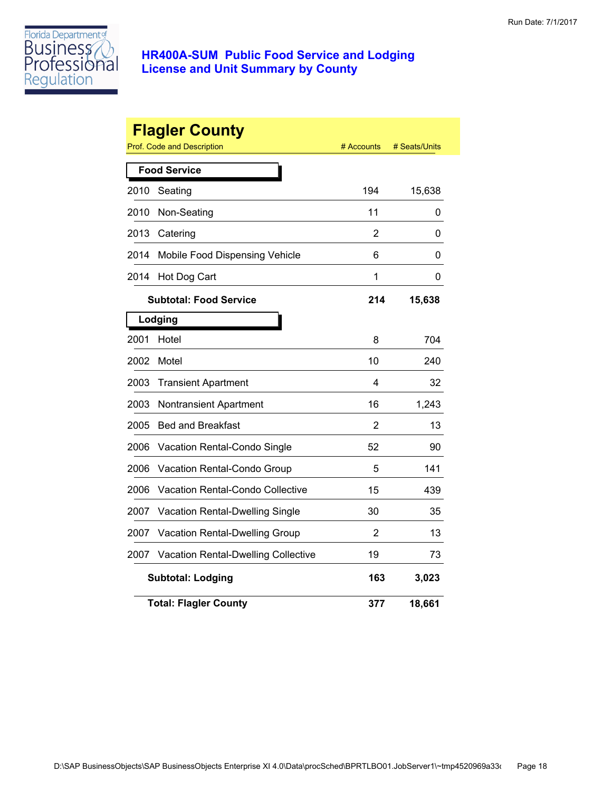

|      | <b>Flagler County</b><br><b>Prof. Code and Description</b> | # Accounts     | # Seats/Units |
|------|------------------------------------------------------------|----------------|---------------|
|      | <b>Food Service</b>                                        |                |               |
| 2010 | Seating                                                    | 194            | 15,638        |
| 2010 | Non-Seating                                                | 11             | 0             |
| 2013 | Catering                                                   | $\overline{2}$ | 0             |
| 2014 | Mobile Food Dispensing Vehicle                             | 6              | 0             |
| 2014 | Hot Dog Cart                                               | 1              | 0             |
|      | <b>Subtotal: Food Service</b>                              | 214            | 15,638        |
|      | Lodging                                                    |                |               |
| 2001 | Hotel                                                      | 8              | 704           |
| 2002 | Motel                                                      | 10             | 240           |
| 2003 | <b>Transient Apartment</b>                                 | 4              | 32            |
| 2003 | <b>Nontransient Apartment</b>                              | 16             | 1,243         |
| 2005 | <b>Bed and Breakfast</b>                                   | $\overline{2}$ | 13            |
| 2006 | Vacation Rental-Condo Single                               | 52             | 90            |
| 2006 | Vacation Rental-Condo Group                                | 5              | 141           |
| 2006 | <b>Vacation Rental-Condo Collective</b>                    | 15             | 439           |
| 2007 | <b>Vacation Rental-Dwelling Single</b>                     | 30             | 35            |
| 2007 | Vacation Rental-Dwelling Group                             | 2              | 13            |
| 2007 | <b>Vacation Rental-Dwelling Collective</b>                 | 19             | 73            |
|      | <b>Subtotal: Lodging</b>                                   | 163            | 3,023         |
|      | <b>Total: Flagler County</b>                               | 377            | 18,661        |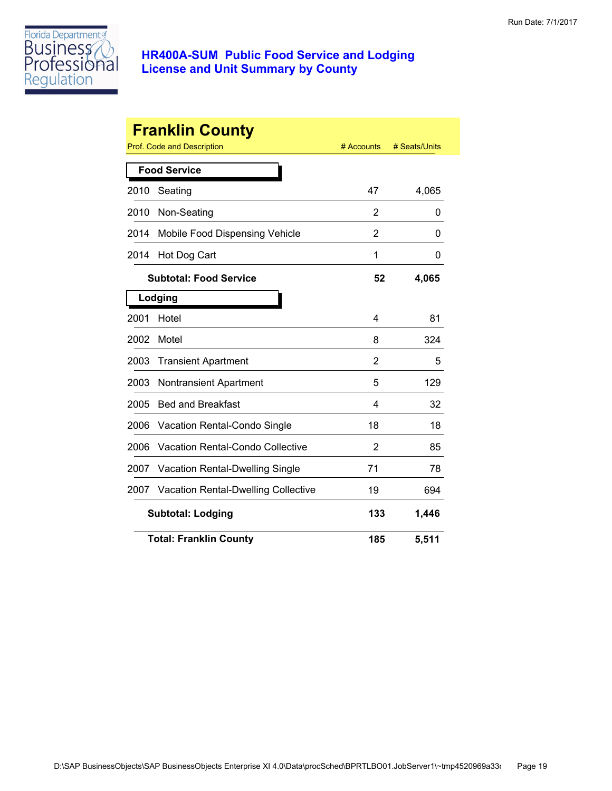

| <b>Franklin County</b> |                                     |            |               |  |
|------------------------|-------------------------------------|------------|---------------|--|
|                        | Prof. Code and Description          | # Accounts | # Seats/Units |  |
|                        | <b>Food Service</b>                 |            |               |  |
| 2010                   | Seating                             | 47         | 4,065         |  |
| 2010                   | Non-Seating                         | 2          | 0             |  |
| 2014                   | Mobile Food Dispensing Vehicle      | 2          | 0             |  |
| 2014                   | Hot Dog Cart                        | 1          | 0             |  |
|                        | <b>Subtotal: Food Service</b>       | 52         | 4,065         |  |
|                        | Lodging                             |            |               |  |
| 2001                   | Hotel                               | 4          | 81            |  |
| 2002                   | Motel                               | 8          | 324           |  |
| 2003                   | <b>Transient Apartment</b>          | 2          | 5             |  |
| 2003                   | <b>Nontransient Apartment</b>       | 5          | 129           |  |
| 2005                   | <b>Bed and Breakfast</b>            | 4          | 32            |  |
| 2006                   | Vacation Rental-Condo Single        | 18         | 18            |  |
| 2006                   | Vacation Rental-Condo Collective    | 2          | 85            |  |
| 2007                   | Vacation Rental-Dwelling Single     | 71         | 78            |  |
| 2007                   | Vacation Rental-Dwelling Collective | 19         | 694           |  |
|                        | <b>Subtotal: Lodging</b>            | 133        | 1,446         |  |
|                        | <b>Total: Franklin County</b>       | 185        | 5,511         |  |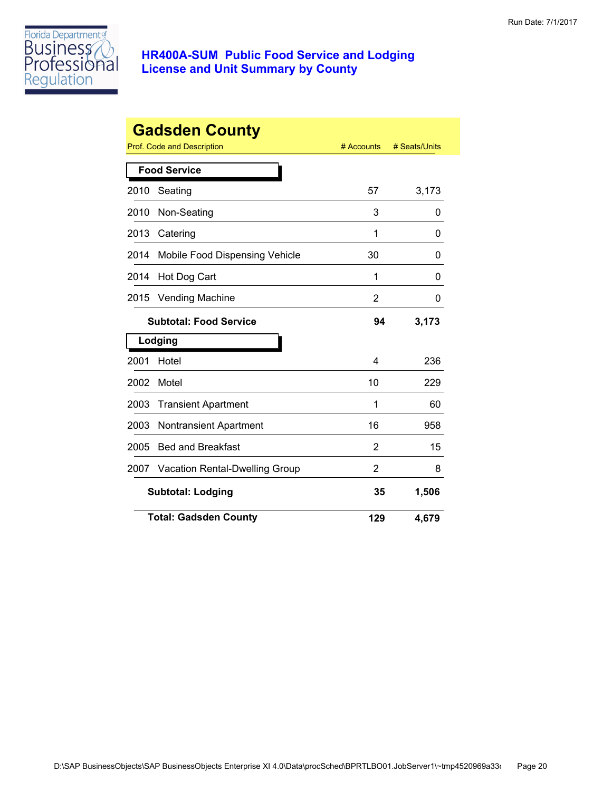

|      | <b>Gadsden County</b><br>Prof. Code and Description | # Accounts     | # Seats/Units |
|------|-----------------------------------------------------|----------------|---------------|
|      | <b>Food Service</b>                                 |                |               |
| 2010 | Seating                                             | 57             | 3,173         |
| 2010 | Non-Seating                                         | 3              | 0             |
| 2013 | Catering                                            | 1              | O             |
| 2014 | Mobile Food Dispensing Vehicle                      | 30             | O             |
| 2014 | Hot Dog Cart                                        | 1              | 0             |
| 2015 | <b>Vending Machine</b>                              | 2              | O             |
|      | <b>Subtotal: Food Service</b>                       | 94             | 3,173         |
|      | Lodging                                             |                |               |
| 2001 | Hotel                                               | 4              | 236           |
| 2002 | Motel                                               | 10             | 229           |
| 2003 | <b>Transient Apartment</b>                          | 1              | 60            |
| 2003 | <b>Nontransient Apartment</b>                       | 16             | 958           |
| 2005 | <b>Bed and Breakfast</b>                            | 2              | 15            |
| 2007 | <b>Vacation Rental-Dwelling Group</b>               | $\overline{2}$ | 8             |
|      | <b>Subtotal: Lodging</b>                            | 35             | 1,506         |
|      | <b>Total: Gadsden County</b>                        | 129            | 4,679         |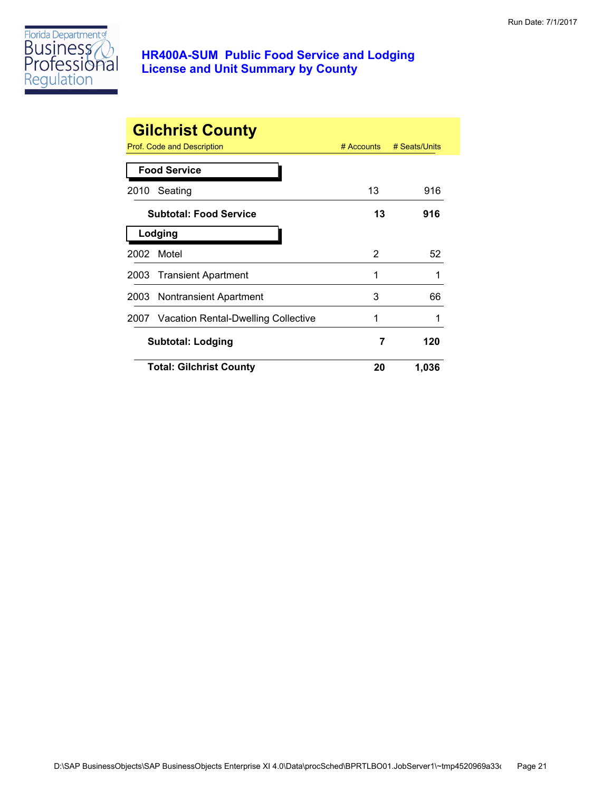

|      | <b>Gilchrist County</b><br>Prof. Code and Description | $#$ Accounts | # Seats/Units |
|------|-------------------------------------------------------|--------------|---------------|
|      | <b>Food Service</b>                                   |              |               |
| 2010 | Seating                                               | 13           | 916           |
|      | <b>Subtotal: Food Service</b>                         | 13           | 916           |
|      | Lodging                                               |              |               |
|      | 2002 Motel                                            | 2            | 52            |
|      | 2003 Transient Apartment                              | 1            |               |
| 2003 | <b>Nontransient Apartment</b>                         | 3            | 66            |
|      | 2007 Vacation Rental-Dwelling Collective              | 1            |               |
|      | Subtotal: Lodging                                     | 7            | 120           |
|      | <b>Total: Gilchrist County</b>                        | 20           | 1,036         |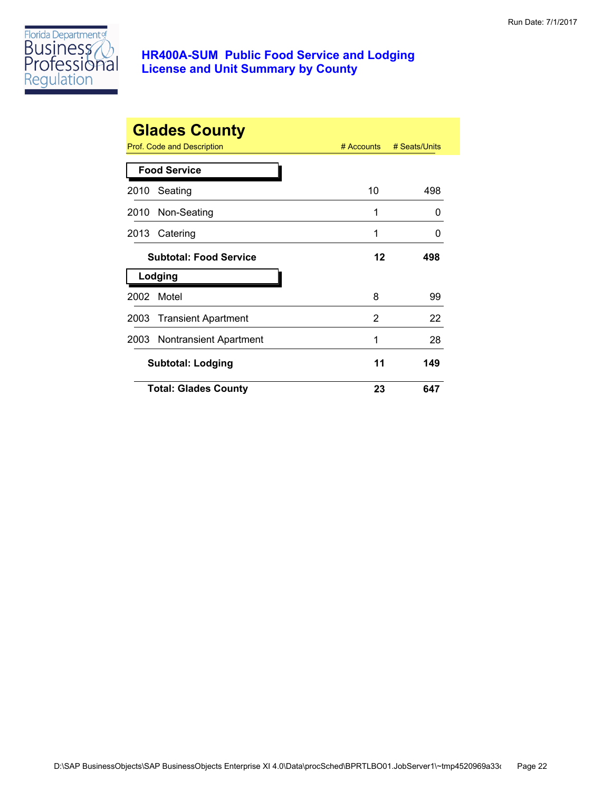

|      | <b>Glades County</b><br>Prof. Code and Description | $#$ Accounts | # Seats/Units |
|------|----------------------------------------------------|--------------|---------------|
|      | <b>Food Service</b>                                |              |               |
| 2010 | Seating                                            | 10           | 498           |
|      | 2010 Non-Seating                                   | 1            | $\Omega$      |
| 2013 | Catering                                           | 1            | 0             |
|      | <b>Subtotal: Food Service</b>                      | 12           | 498           |
|      | Lodging                                            |              |               |
| 2002 | Motel                                              | 8            | 99            |
|      | 2003 Transient Apartment                           | 2            | 22            |
|      | 2003 Nontransient Apartment                        | 1            | 28            |
|      | <b>Subtotal: Lodging</b>                           | 11           | 149           |
|      | <b>Total: Glades County</b>                        | 23           | 647           |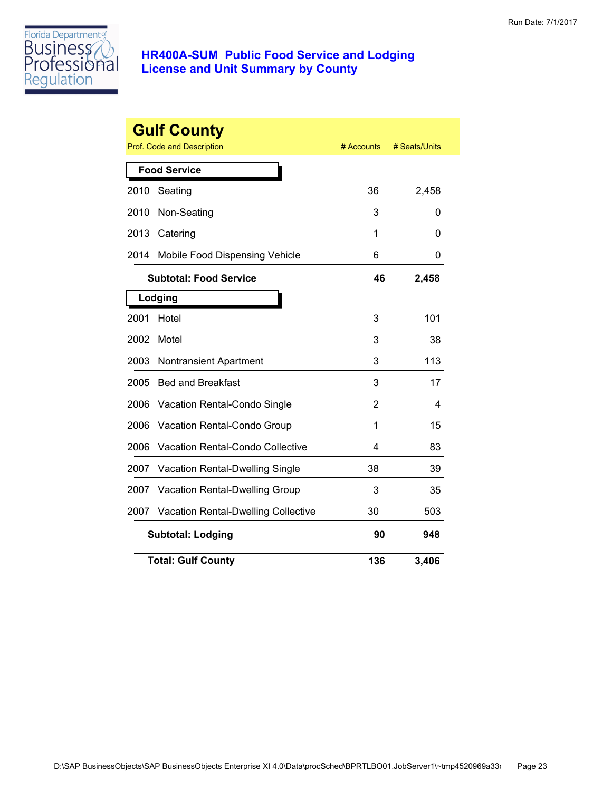

|      | <b>Gulf County</b><br><b>Prof. Code and Description</b> | # Accounts | # Seats/Units |
|------|---------------------------------------------------------|------------|---------------|
|      | <b>Food Service</b>                                     |            |               |
| 2010 | Seating                                                 | 36         | 2,458         |
| 2010 | Non-Seating                                             | 3          | 0             |
| 2013 | Catering                                                | 1          | 0             |
| 2014 | Mobile Food Dispensing Vehicle                          | 6          | 0             |
|      | <b>Subtotal: Food Service</b>                           | 46         | 2,458         |
|      | Lodging                                                 |            |               |
| 2001 | Hotel                                                   | 3          | 101           |
| 2002 | Motel                                                   | 3          | 38            |
| 2003 | Nontransient Apartment                                  | 3          | 113           |
| 2005 | <b>Bed and Breakfast</b>                                | 3          | 17            |
| 2006 | Vacation Rental-Condo Single                            | 2          | 4             |
| 2006 | Vacation Rental-Condo Group                             | 1          | 15            |
| 2006 | <b>Vacation Rental-Condo Collective</b>                 | 4          | 83            |
| 2007 | <b>Vacation Rental-Dwelling Single</b>                  | 38         | 39            |
| 2007 | Vacation Rental-Dwelling Group                          | 3          | 35            |
| 2007 | <b>Vacation Rental-Dwelling Collective</b>              | 30         | 503           |
|      | <b>Subtotal: Lodging</b>                                | 90         | 948           |
|      | <b>Total: Gulf County</b>                               | 136        | 3,406         |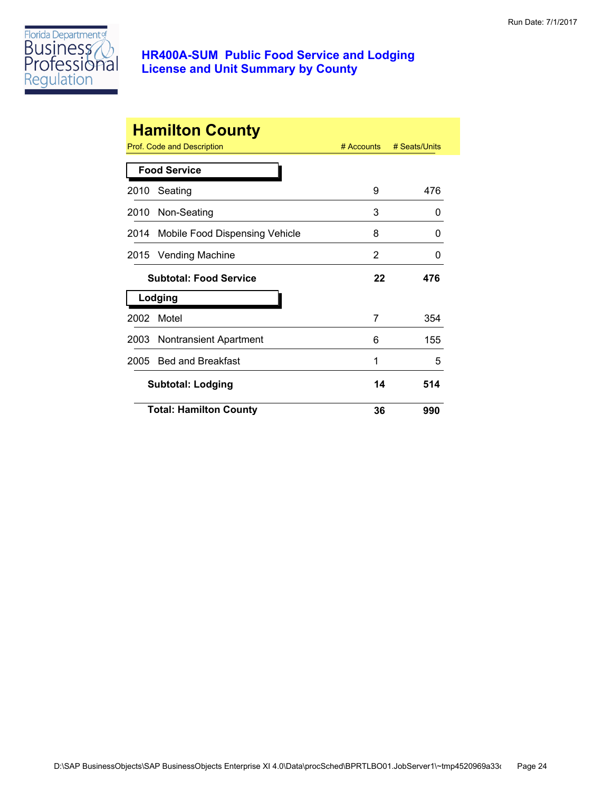

| <b>Hamilton County</b><br>Prof. Code and Description<br># Accounts<br># Seats/Units |                                |    |     |  |
|-------------------------------------------------------------------------------------|--------------------------------|----|-----|--|
|                                                                                     | <b>Food Service</b>            |    |     |  |
| 2010                                                                                | Seating                        | 9  | 476 |  |
|                                                                                     | 2010 Non-Seating               | 3  | 0   |  |
| 2014                                                                                | Mobile Food Dispensing Vehicle | 8  | 0   |  |
|                                                                                     | 2015 Vending Machine           | 2  | 0   |  |
|                                                                                     | <b>Subtotal: Food Service</b>  | 22 | 476 |  |
|                                                                                     | Lodging                        |    |     |  |
| 2002                                                                                | Motel                          | 7  | 354 |  |
|                                                                                     | 2003 Nontransient Apartment    | 6  | 155 |  |
| 2005                                                                                | <b>Bed and Breakfast</b>       | 1  | 5   |  |
|                                                                                     | <b>Subtotal: Lodging</b>       | 14 | 514 |  |
|                                                                                     | <b>Total: Hamilton County</b>  | 36 | 990 |  |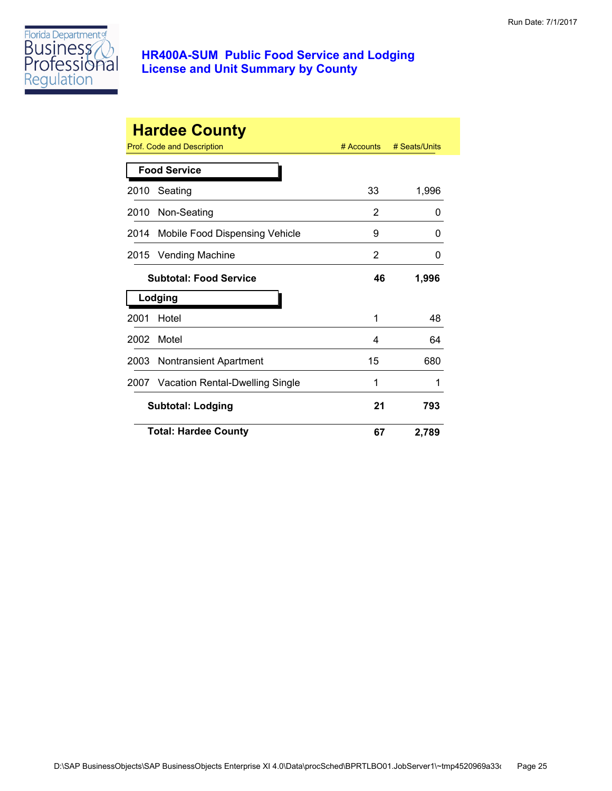

|      | <b>Hardee County</b>              |              |               |
|------|-----------------------------------|--------------|---------------|
|      | <b>Prof. Code and Description</b> | $#$ Accounts | # Seats/Units |
|      | <b>Food Service</b>               |              |               |
| 2010 | Seating                           | 33           | 1,996         |
| 2010 | Non-Seating                       | 2            | 0             |
| 2014 | Mobile Food Dispensing Vehicle    | 9            | 0             |
| 2015 | <b>Vending Machine</b>            | 2            | 0             |
|      | <b>Subtotal: Food Service</b>     | 46           | 1,996         |
|      | Lodging                           |              |               |
| 2001 | Hotel                             | 1            | 48            |
| 2002 | Motel                             | 4            | 64            |
| 2003 | <b>Nontransient Apartment</b>     | 15           | 680           |
| 2007 | Vacation Rental-Dwelling Single   | 1            | 1             |
|      | <b>Subtotal: Lodging</b>          | 21           | 793           |
|      | <b>Total: Hardee County</b>       | 67           | 2,789         |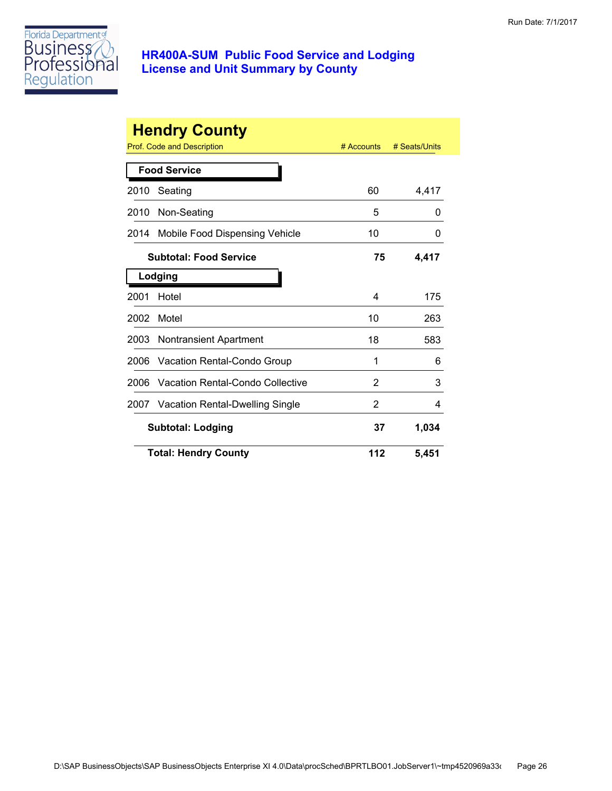

|      | <b>Hendry County</b>             |              |               |
|------|----------------------------------|--------------|---------------|
|      | Prof. Code and Description       | $#$ Accounts | # Seats/Units |
|      | <b>Food Service</b>              |              |               |
| 2010 | Seating                          | 60           | 4,417         |
| 2010 | Non-Seating                      | 5            | 0             |
| 2014 | Mobile Food Dispensing Vehicle   | 10           | 0             |
|      | <b>Subtotal: Food Service</b>    | 75           | 4,417         |
|      | Lodging                          |              |               |
| 2001 | Hotel                            | 4            | 175           |
| 2002 | Motel                            | 10           | 263           |
| 2003 | Nontransient Apartment           | 18           | 583           |
| 2006 | Vacation Rental-Condo Group      | 1            | 6             |
| 2006 | Vacation Rental-Condo Collective | 2            | 3             |
| 2007 | Vacation Rental-Dwelling Single  | 2            | 4             |
|      | <b>Subtotal: Lodging</b>         | 37           | 1,034         |
|      | <b>Total: Hendry County</b>      | 112          | 5,451         |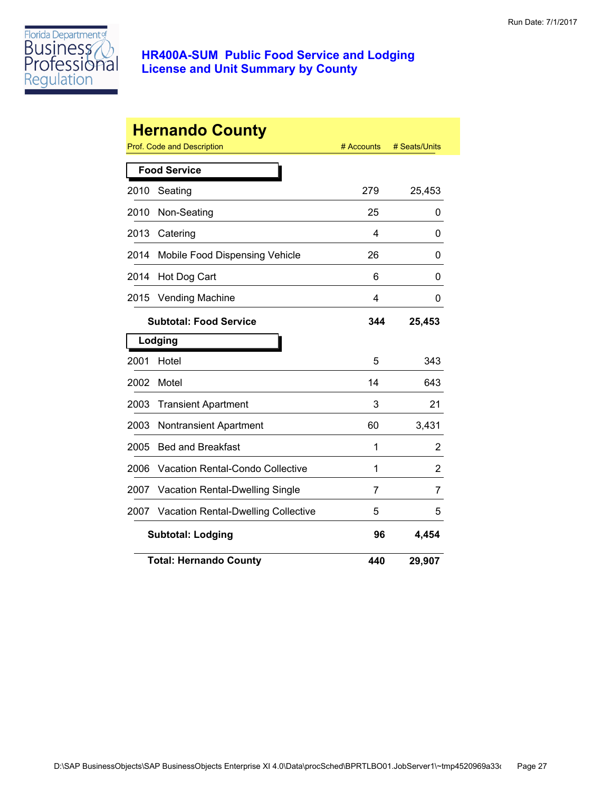

|      | <b>Hernando County</b>                     |            |               |
|------|--------------------------------------------|------------|---------------|
|      | <b>Prof. Code and Description</b>          | # Accounts | # Seats/Units |
|      | <b>Food Service</b>                        |            |               |
| 2010 | Seating                                    | 279        | 25,453        |
| 2010 | Non-Seating                                | 25         | 0             |
| 2013 | Catering                                   | 4          | 0             |
| 2014 | Mobile Food Dispensing Vehicle             | 26         | 0             |
| 2014 | Hot Dog Cart                               | 6          | 0             |
| 2015 | <b>Vending Machine</b>                     | 4          | 0             |
|      | <b>Subtotal: Food Service</b>              | 344        | 25,453        |
|      | Lodging                                    |            |               |
| 2001 | Hotel                                      | 5          | 343           |
| 2002 | Motel                                      | 14         | 643           |
| 2003 | <b>Transient Apartment</b>                 | 3          | 21            |
| 2003 | Nontransient Apartment                     | 60         | 3,431         |
| 2005 | <b>Bed and Breakfast</b>                   | 1          | 2             |
| 2006 | <b>Vacation Rental-Condo Collective</b>    | 1          | 2             |
| 2007 | Vacation Rental-Dwelling Single            | 7          | 7             |
| 2007 | <b>Vacation Rental-Dwelling Collective</b> | 5          | 5             |
|      | <b>Subtotal: Lodging</b>                   | 96         | 4,454         |
|      | <b>Total: Hernando County</b>              | 440        | 29,907        |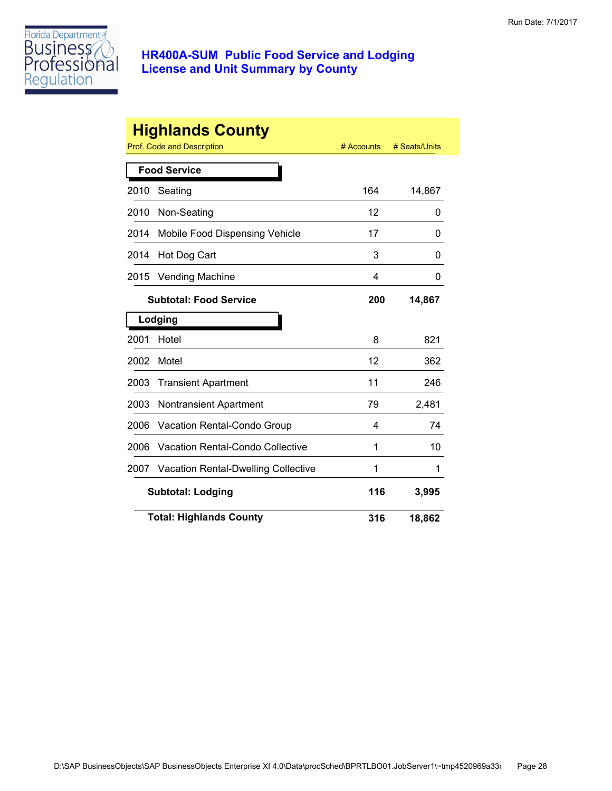

|      | <b>Highlands County</b><br>Prof. Code and Description | # Accounts | # Seats/Units |
|------|-------------------------------------------------------|------------|---------------|
|      | <b>Food Service</b>                                   |            |               |
| 2010 | Seating                                               | 164        | 14,867        |
| 2010 | Non-Seating                                           | 12         | 0             |
| 2014 | Mobile Food Dispensing Vehicle                        | 17         | 0             |
| 2014 | Hot Dog Cart                                          | 3          | 0             |
| 2015 | <b>Vending Machine</b>                                | 4          | 0             |
|      | <b>Subtotal: Food Service</b>                         | 200        | 14,867        |
|      | Lodging                                               |            |               |
| 2001 | Hotel                                                 | 8          | 821           |
| 2002 | Motel                                                 | 12         | 362           |
| 2003 | <b>Transient Apartment</b>                            | 11         | 246           |
| 2003 | <b>Nontransient Apartment</b>                         | 79         | 2,481         |
| 2006 | Vacation Rental-Condo Group                           | 4          | 74            |
| 2006 | <b>Vacation Rental-Condo Collective</b>               | 1          | 10            |
| 2007 | <b>Vacation Rental-Dwelling Collective</b>            | 1          | 1             |
|      | <b>Subtotal: Lodging</b>                              | 116        | 3,995         |
|      | <b>Total: Highlands County</b>                        | 316        | 18,862        |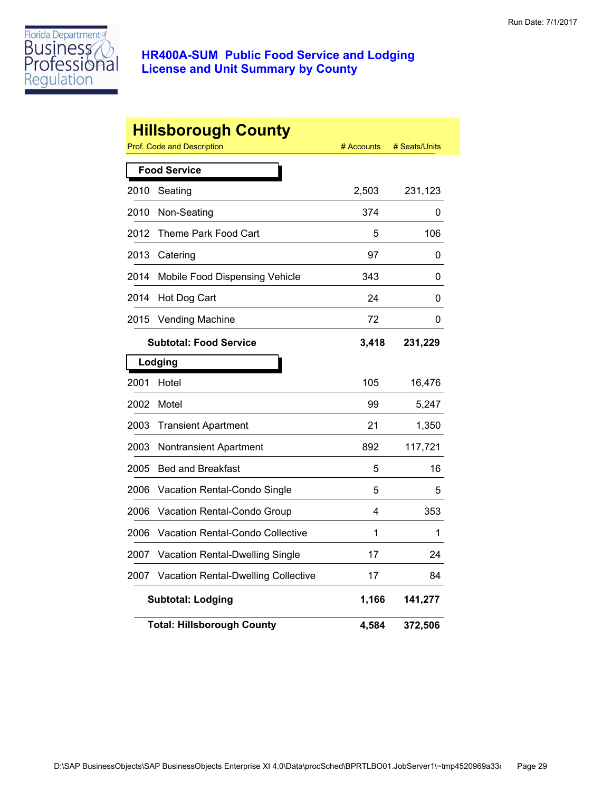

|      | <b>Hillsborough County</b><br>Prof. Code and Description | # Accounts | # Seats/Units |
|------|----------------------------------------------------------|------------|---------------|
|      | <b>Food Service</b>                                      |            |               |
| 2010 | Seating                                                  | 2,503      | 231,123       |
| 2010 | Non-Seating                                              | 374        | 0             |
| 2012 | Theme Park Food Cart                                     | 5          | 106           |
| 2013 | Catering                                                 | 97         | 0             |
| 2014 | Mobile Food Dispensing Vehicle                           | 343        | 0             |
| 2014 | Hot Dog Cart                                             | 24         | 0             |
| 2015 | <b>Vending Machine</b>                                   | 72         | 0             |
|      | <b>Subtotal: Food Service</b>                            | 3,418      | 231,229       |
|      | Lodging                                                  |            |               |
| 2001 | Hotel                                                    | 105        | 16,476        |
| 2002 | Motel                                                    | 99         | 5,247         |
| 2003 | <b>Transient Apartment</b>                               | 21         | 1,350         |
| 2003 | <b>Nontransient Apartment</b>                            | 892        | 117,721       |
| 2005 | <b>Bed and Breakfast</b>                                 | 5          | 16            |
| 2006 | Vacation Rental-Condo Single                             | 5          | 5             |
| 2006 | Vacation Rental-Condo Group                              | 4          | 353           |
| 2006 | Vacation Rental-Condo Collective                         | 1          | 1             |
| 2007 | Vacation Rental-Dwelling Single                          | 17         | 24            |
| 2007 | Vacation Rental-Dwelling Collective                      | 17         | 84            |
|      | <b>Subtotal: Lodging</b>                                 | 1,166      | 141,277       |
|      | <b>Total: Hillsborough County</b>                        | 4,584      | 372,506       |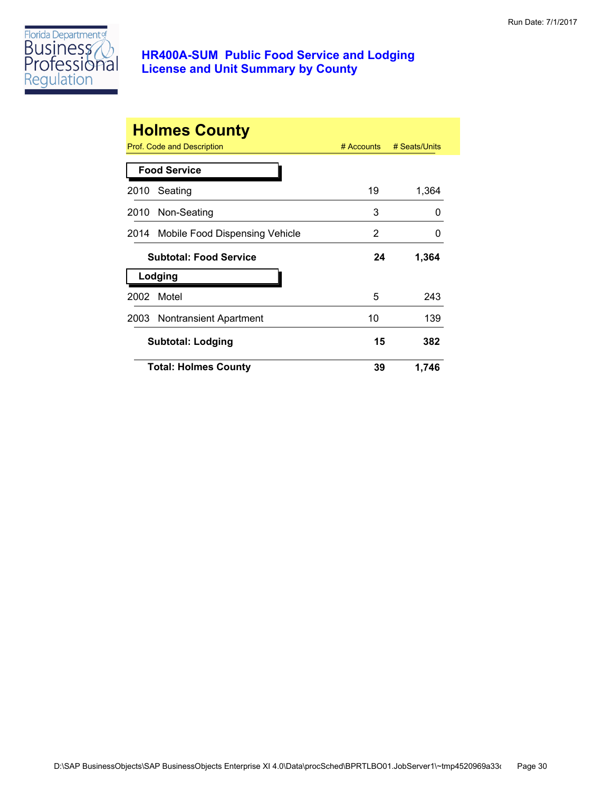

|      | <b>Holmes County</b><br>Prof. Code and Description | $#$ Accounts | # Seats/Units |
|------|----------------------------------------------------|--------------|---------------|
|      | <b>Food Service</b>                                |              |               |
| 2010 | Seating                                            | 19           | 1,364         |
| 2010 | Non-Seating                                        | 3            | O             |
|      | 2014 Mobile Food Dispensing Vehicle                | 2            | 0             |
|      | <b>Subtotal: Food Service</b>                      | 24           | 1,364         |
|      | Lodging                                            |              |               |
| 2002 | Motel                                              | 5            | 243           |
|      | 2003 Nontransient Apartment                        | 10           | 139           |
|      | <b>Subtotal: Lodging</b>                           | 15           | 382           |
|      | <b>Total: Holmes County</b>                        | 39           | 1,746         |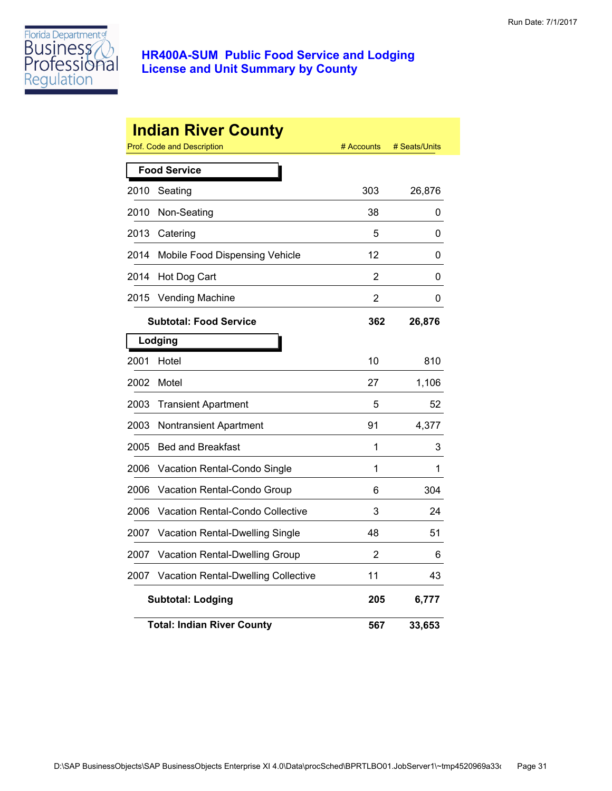

|      | <b>Indian River County</b><br>Prof. Code and Description | # Accounts     | # Seats/Units |
|------|----------------------------------------------------------|----------------|---------------|
|      | <b>Food Service</b>                                      |                |               |
| 2010 | Seating                                                  | 303            | 26,876        |
| 2010 | Non-Seating                                              | 38             | 0             |
| 2013 | Catering                                                 | 5              | 0             |
| 2014 | Mobile Food Dispensing Vehicle                           | 12             | 0             |
| 2014 | Hot Dog Cart                                             | 2              | 0             |
| 2015 | Vending Machine                                          | $\overline{2}$ | 0             |
|      | <b>Subtotal: Food Service</b>                            | 362            | 26,876        |
|      | Lodging                                                  |                |               |
| 2001 | Hotel                                                    | 10             | 810           |
| 2002 | Motel                                                    | 27             | 1,106         |
| 2003 | <b>Transient Apartment</b>                               | 5              | 52            |
| 2003 | Nontransient Apartment                                   | 91             | 4,377         |
| 2005 | <b>Bed and Breakfast</b>                                 | 1              | 3             |
| 2006 | Vacation Rental-Condo Single                             | 1              | 1             |
| 2006 | Vacation Rental-Condo Group                              | 6              | 304           |
| 2006 | <b>Vacation Rental-Condo Collective</b>                  | 3              | 24            |
| 2007 | <b>Vacation Rental-Dwelling Single</b>                   | 48             | 51            |
| 2007 | Vacation Rental-Dwelling Group                           | 2              | 6             |
| 2007 | Vacation Rental-Dwelling Collective                      | 11             | 43            |
|      | <b>Subtotal: Lodging</b>                                 | 205            | 6,777         |
|      | <b>Total: Indian River County</b>                        | 567            | 33,653        |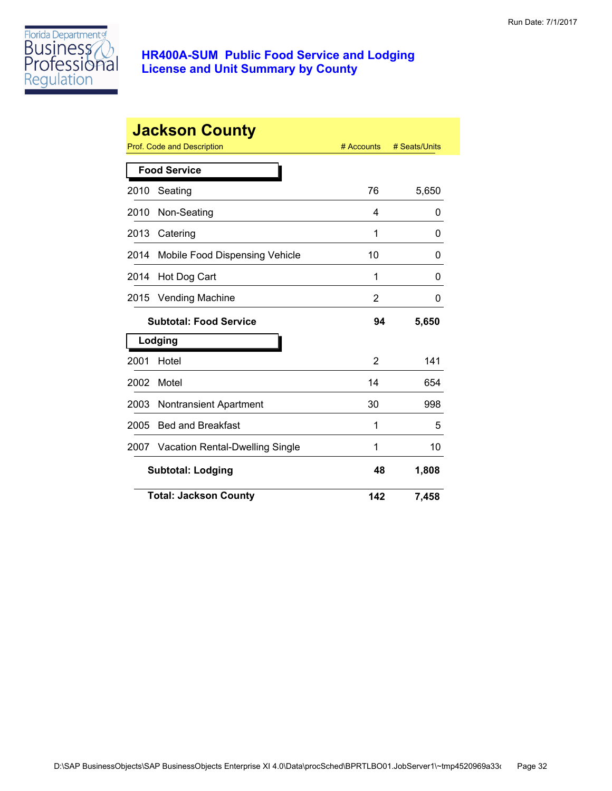

|      | <b>Jackson County</b><br>Prof. Code and Description | # Accounts | # Seats/Units |
|------|-----------------------------------------------------|------------|---------------|
|      | <b>Food Service</b>                                 |            |               |
| 2010 | Seating                                             | 76         | 5,650         |
| 2010 | Non-Seating                                         | 4          | 0             |
| 2013 | Catering                                            | 1          | 0             |
| 2014 | Mobile Food Dispensing Vehicle                      | 10         | 0             |
| 2014 | Hot Dog Cart                                        | 1          | 0             |
| 2015 | Vending Machine                                     | 2          | 0             |
|      | <b>Subtotal: Food Service</b>                       | 94         | 5,650         |
|      | Lodging                                             |            |               |
| 2001 | Hotel                                               | 2          | 141           |
| 2002 | Motel                                               | 14         | 654           |
| 2003 | Nontransient Apartment                              | 30         | 998           |
| 2005 | <b>Bed and Breakfast</b>                            | 1          | 5             |
| 2007 | <b>Vacation Rental-Dwelling Single</b>              | 1          | 10            |
|      | <b>Subtotal: Lodging</b>                            | 48         | 1,808         |
|      | <b>Total: Jackson County</b>                        | 142        | 7,458         |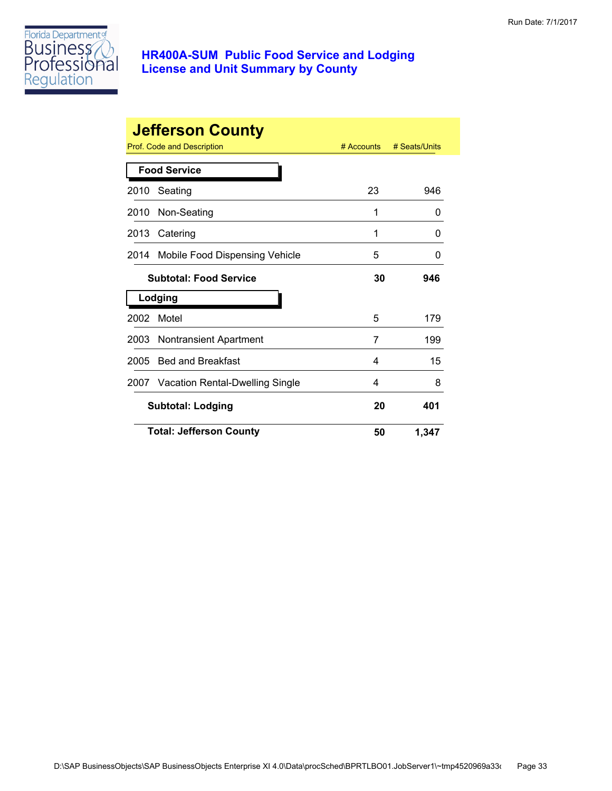

|      | <b>Jefferson County</b>              |              |               |
|------|--------------------------------------|--------------|---------------|
|      | <b>Prof. Code and Description</b>    | $#$ Accounts | # Seats/Units |
|      | <b>Food Service</b>                  |              |               |
| 2010 | Seating                              | 23           | 946           |
| 2010 | Non-Seating                          | 1            | $\mathbf{0}$  |
| 2013 | Catering                             | 1            | 0             |
| 2014 | Mobile Food Dispensing Vehicle       | 5            | $\mathbf{0}$  |
|      | <b>Subtotal: Food Service</b>        | 30           | 946           |
|      | Lodging                              |              |               |
| 2002 | Motel                                | 5            | 179           |
| 2003 | Nontransient Apartment               | 7            | 199           |
| 2005 | <b>Bed and Breakfast</b>             | 4            | 15            |
|      | 2007 Vacation Rental-Dwelling Single | 4            | 8             |
|      | <b>Subtotal: Lodging</b>             | 20           | 401           |
|      | <b>Total: Jefferson County</b>       | 50           | 1,347         |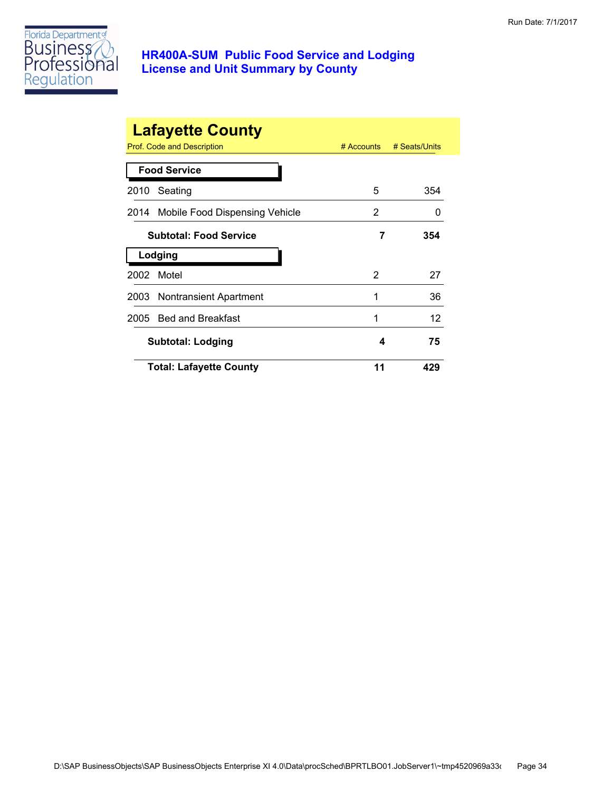

|      | <b>Lafayette County</b><br>Prof. Code and Description | $#$ Accounts | # Seats/Units |
|------|-------------------------------------------------------|--------------|---------------|
|      | <b>Food Service</b>                                   |              |               |
| 2010 | Seating                                               | 5            | 354           |
|      | 2014 Mobile Food Dispensing Vehicle                   | 2            | $\mathbf{0}$  |
|      | <b>Subtotal: Food Service</b>                         | 7            | 354           |
|      | Lodging                                               |              |               |
| 2002 | Motel                                                 | 2            | 27            |
|      | 2003 Nontransient Apartment                           | 1            | 36            |
|      | 2005 Bed and Breakfast                                | 1            | 12            |
|      | <b>Subtotal: Lodging</b>                              | 4            | 75            |
|      | <b>Total: Lafayette County</b>                        | 11           | 429           |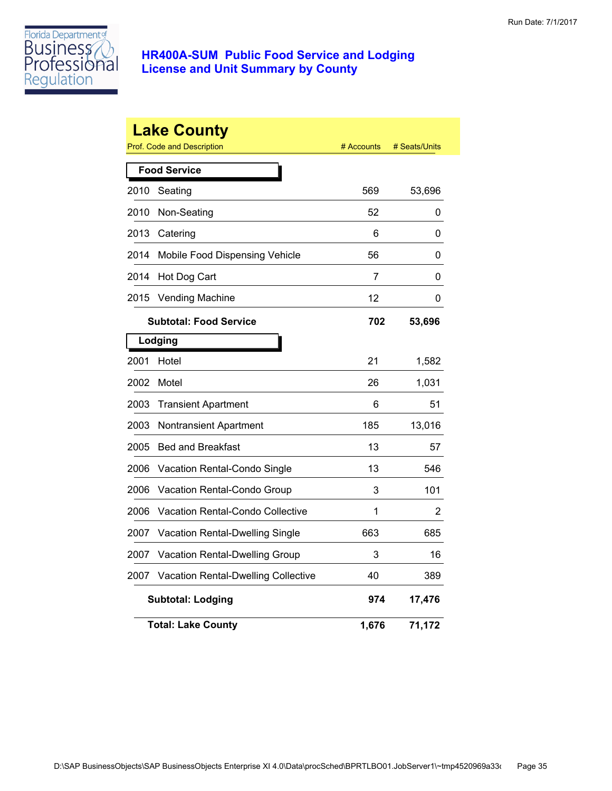

|      | <b>Lake County</b><br>Prof. Code and Description | # Accounts | # Seats/Units |
|------|--------------------------------------------------|------------|---------------|
|      | <b>Food Service</b>                              |            |               |
| 2010 | Seating                                          | 569        | 53,696        |
| 2010 | Non-Seating                                      | 52         | 0             |
| 2013 | Catering                                         | 6          | 0             |
| 2014 | Mobile Food Dispensing Vehicle                   | 56         | 0             |
| 2014 | Hot Dog Cart                                     | 7          | 0             |
| 2015 | <b>Vending Machine</b>                           | 12         | 0             |
|      | <b>Subtotal: Food Service</b>                    | 702        | 53,696        |
|      | Lodging                                          |            |               |
| 2001 | Hotel                                            | 21         | 1,582         |
| 2002 | Motel                                            | 26         | 1,031         |
| 2003 | <b>Transient Apartment</b>                       | 6          | 51            |
| 2003 | Nontransient Apartment                           | 185        | 13,016        |
| 2005 | <b>Bed and Breakfast</b>                         | 13         | 57            |
| 2006 | Vacation Rental-Condo Single                     | 13         | 546           |
| 2006 | Vacation Rental-Condo Group                      | 3          | 101           |
| 2006 | Vacation Rental-Condo Collective                 | 1          | 2             |
| 2007 | Vacation Rental-Dwelling Single                  | 663        | 685           |
| 2007 | Vacation Rental-Dwelling Group                   | 3          | 16            |
| 2007 | <b>Vacation Rental-Dwelling Collective</b>       | 40         | 389           |
|      | <b>Subtotal: Lodging</b>                         | 974        | 17,476        |
|      | <b>Total: Lake County</b>                        | 1,676      | 71,172        |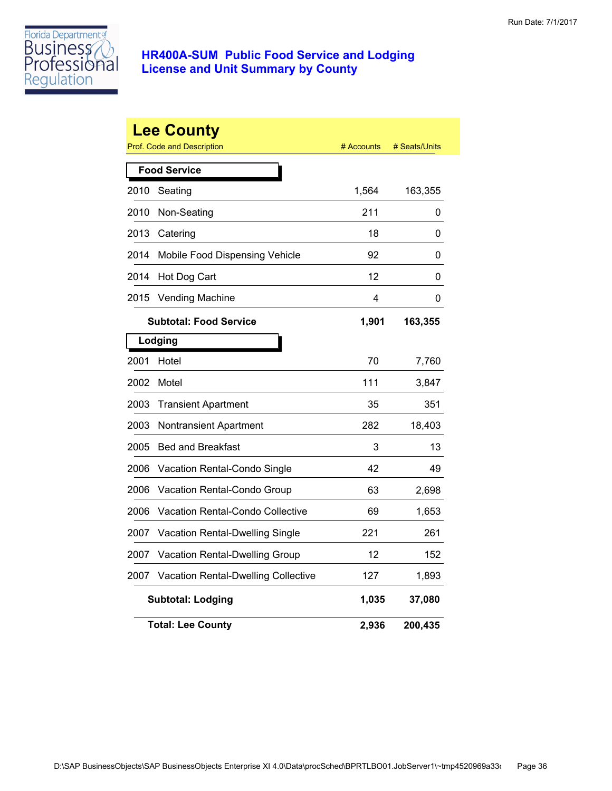

|      | <b>Lee County</b><br><b>Prof. Code and Description</b> | # Accounts | # Seats/Units |
|------|--------------------------------------------------------|------------|---------------|
|      | <b>Food Service</b>                                    |            |               |
| 2010 | Seating                                                | 1,564      | 163,355       |
| 2010 | Non-Seating                                            | 211        | 0             |
| 2013 | Catering                                               | 18         | 0             |
| 2014 | Mobile Food Dispensing Vehicle                         | 92         | 0             |
| 2014 | Hot Dog Cart                                           | 12         | 0             |
| 2015 | <b>Vending Machine</b>                                 | 4          | 0             |
|      | <b>Subtotal: Food Service</b>                          | 1,901      | 163,355       |
|      | Lodging                                                |            |               |
| 2001 | Hotel                                                  | 70         | 7,760         |
| 2002 | Motel                                                  | 111        | 3,847         |
| 2003 | <b>Transient Apartment</b>                             | 35         | 351           |
| 2003 | Nontransient Apartment                                 | 282        | 18,403        |
| 2005 | <b>Bed and Breakfast</b>                               | 3          | 13            |
| 2006 | Vacation Rental-Condo Single                           | 42         | 49            |
| 2006 | Vacation Rental-Condo Group                            | 63         | 2,698         |
| 2006 | Vacation Rental-Condo Collective                       | 69         | 1,653         |
| 2007 | Vacation Rental-Dwelling Single                        | 221        | 261           |
| 2007 | Vacation Rental-Dwelling Group                         | 12         | 152           |
| 2007 | Vacation Rental-Dwelling Collective                    | 127        | 1,893         |
|      | <b>Subtotal: Lodging</b>                               | 1,035      | 37,080        |
|      | <b>Total: Lee County</b>                               | 2,936      | 200,435       |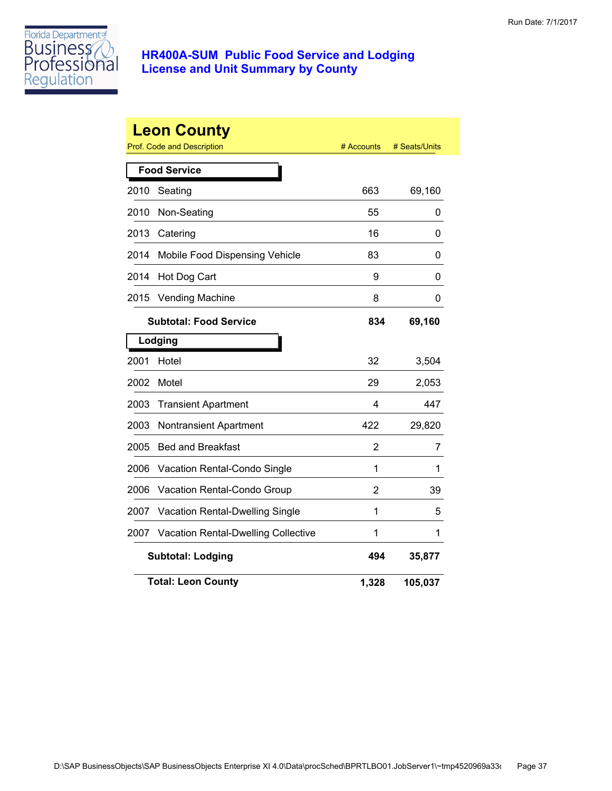

|      | <b>Leon County</b><br><b>Prof. Code and Description</b> | # Accounts | # Seats/Units |
|------|---------------------------------------------------------|------------|---------------|
|      | <b>Food Service</b>                                     |            |               |
| 2010 | Seating                                                 | 663        | 69,160        |
| 2010 | Non-Seating                                             | 55         | 0             |
| 2013 | Catering                                                | 16         | 0             |
| 2014 | Mobile Food Dispensing Vehicle                          | 83         | 0             |
| 2014 | Hot Dog Cart                                            | 9          | 0             |
| 2015 | <b>Vending Machine</b>                                  | 8          | 0             |
|      | <b>Subtotal: Food Service</b>                           | 834        | 69,160        |
|      | Lodging                                                 |            |               |
| 2001 | Hotel                                                   | 32         | 3,504         |
| 2002 | Motel                                                   | 29         | 2,053         |
| 2003 | <b>Transient Apartment</b>                              | 4          | 447           |
| 2003 | Nontransient Apartment                                  | 422        | 29,820        |
| 2005 | <b>Bed and Breakfast</b>                                | 2          | 7             |
| 2006 | Vacation Rental-Condo Single                            | 1          | 1             |
| 2006 | Vacation Rental-Condo Group                             | 2          | 39            |
| 2007 | Vacation Rental-Dwelling Single                         | 1          | 5             |
| 2007 | <b>Vacation Rental-Dwelling Collective</b>              | 1          | 1             |
|      | <b>Subtotal: Lodging</b>                                | 494        | 35,877        |
|      | <b>Total: Leon County</b>                               | 1,328      | 105,037       |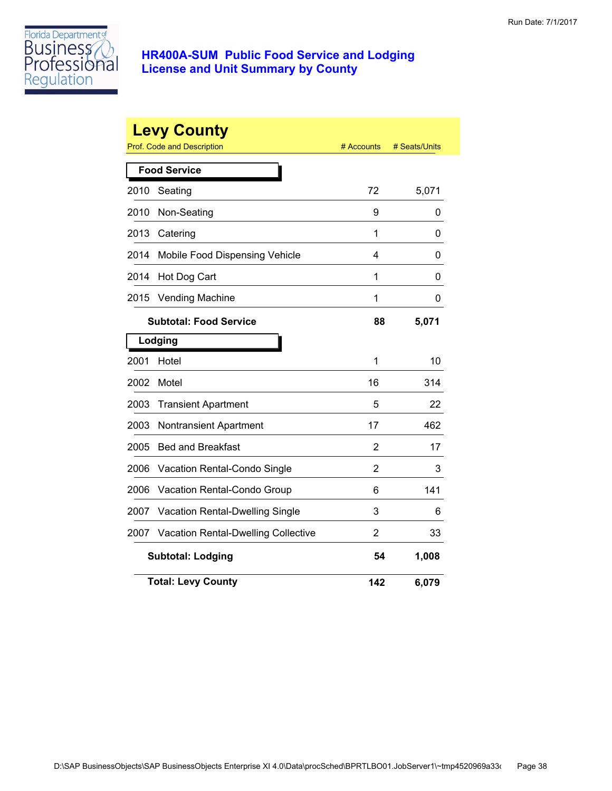

|      | <b>Levy County</b><br><b>Prof. Code and Description</b> | # Accounts     | # Seats/Units |
|------|---------------------------------------------------------|----------------|---------------|
|      | <b>Food Service</b>                                     |                |               |
| 2010 | Seating                                                 | 72             | 5,071         |
| 2010 | Non-Seating                                             | 9              | 0             |
| 2013 | Catering                                                | 1              | 0             |
| 2014 | Mobile Food Dispensing Vehicle                          | 4              | 0             |
| 2014 | Hot Dog Cart                                            | 1              | 0             |
| 2015 | <b>Vending Machine</b>                                  | 1              | 0             |
|      | <b>Subtotal: Food Service</b>                           | 88             | 5,071         |
|      | Lodging                                                 |                |               |
| 2001 | Hotel                                                   | 1              | 10            |
| 2002 | Motel                                                   | 16             | 314           |
| 2003 | <b>Transient Apartment</b>                              | 5              | 22            |
| 2003 | Nontransient Apartment                                  | 17             | 462           |
| 2005 | <b>Bed and Breakfast</b>                                | $\overline{2}$ | 17            |
| 2006 | Vacation Rental-Condo Single                            | 2              | 3             |
| 2006 | Vacation Rental-Condo Group                             | 6              | 141           |
| 2007 | <b>Vacation Rental-Dwelling Single</b>                  | 3              | 6             |
| 2007 | <b>Vacation Rental-Dwelling Collective</b>              | 2              | 33            |
|      | <b>Subtotal: Lodging</b>                                | 54             | 1,008         |
|      | <b>Total: Levy County</b>                               | 142            | 6,079         |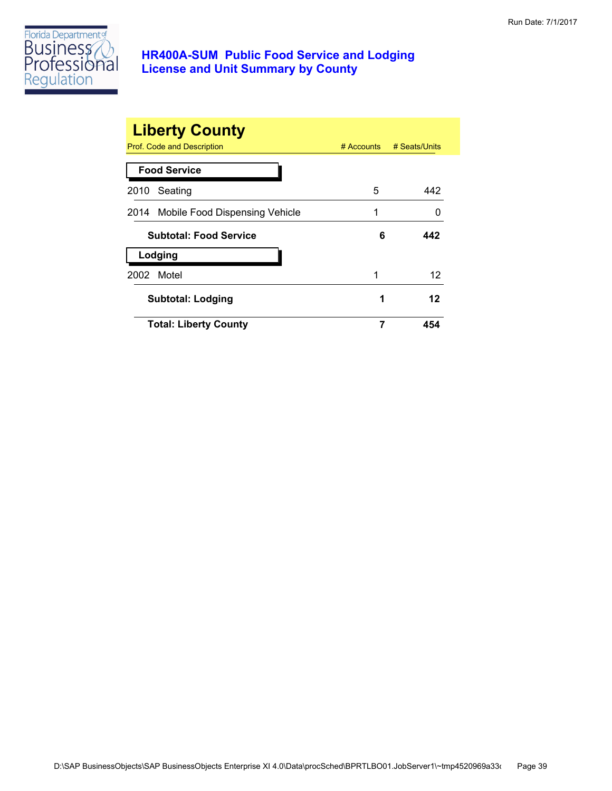

| <b>Liberty County</b><br><b>Prof. Code and Description</b> |   | # Accounts # Seats/Units |
|------------------------------------------------------------|---|--------------------------|
| <b>Food Service</b>                                        |   |                          |
| 2010<br>Seating                                            | 5 | 442                      |
| 2014 Mobile Food Dispensing Vehicle                        | 1 |                          |
| <b>Subtotal: Food Service</b>                              | 6 | 442                      |
| Lodging                                                    |   |                          |
| 2002 Motel                                                 | 1 | 12                       |
| <b>Subtotal: Lodging</b>                                   | 1 | 12                       |
| <b>Total: Liberty County</b>                               | 7 | 454                      |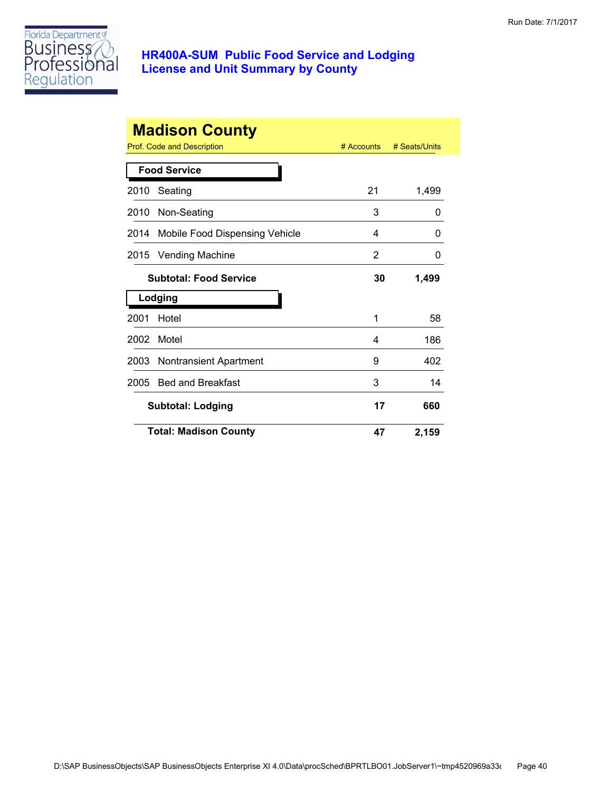

| <b>Madison County</b> |                                |              |               |
|-----------------------|--------------------------------|--------------|---------------|
|                       | Prof. Code and Description     | $#$ Accounts | # Seats/Units |
|                       | <b>Food Service</b>            |              |               |
| 2010                  | Seating                        | 21           | 1,499         |
| 2010                  | Non-Seating                    | 3            | 0             |
| 2014                  | Mobile Food Dispensing Vehicle | 4            | $\Omega$      |
| 2015                  | <b>Vending Machine</b>         | 2            | 0             |
|                       | <b>Subtotal: Food Service</b>  | 30           | 1,499         |
|                       | Lodging                        |              |               |
| 2001                  | Hotel                          | 1            | 58            |
| 2002                  | Motel                          | 4            | 186           |
| 2003                  | <b>Nontransient Apartment</b>  | 9            | 402           |
| 2005                  | <b>Bed and Breakfast</b>       | 3            | 14            |
|                       | <b>Subtotal: Lodging</b>       | 17           | 660           |
|                       | <b>Total: Madison County</b>   | 47           | 2,159         |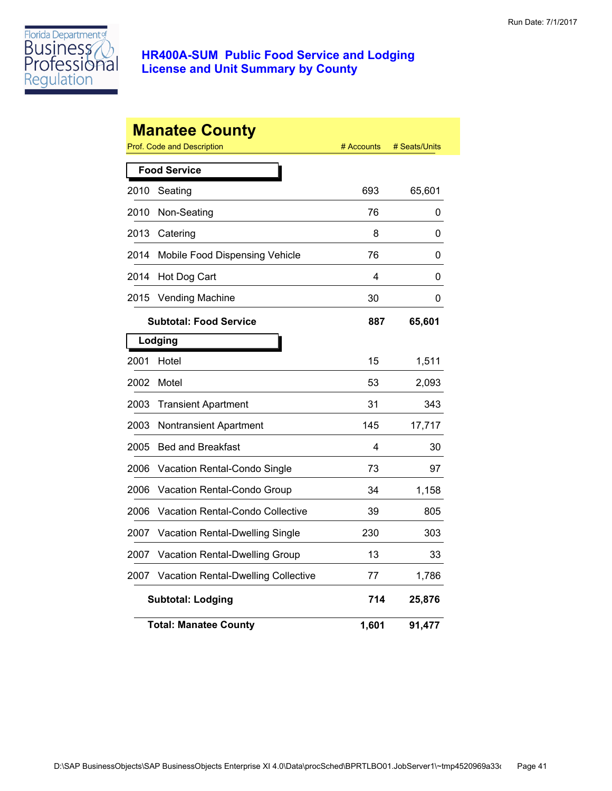

|      | <b>Manatee County</b><br><b>Prof. Code and Description</b> | # Accounts | # Seats/Units |
|------|------------------------------------------------------------|------------|---------------|
|      | <b>Food Service</b>                                        |            |               |
| 2010 | Seating                                                    | 693        | 65,601        |
| 2010 | Non-Seating                                                | 76         | 0             |
| 2013 | Catering                                                   | 8          | 0             |
| 2014 | Mobile Food Dispensing Vehicle                             | 76         | 0             |
| 2014 | Hot Dog Cart                                               | 4          | 0             |
| 2015 | <b>Vending Machine</b>                                     | 30         | 0             |
|      | <b>Subtotal: Food Service</b>                              | 887        | 65,601        |
|      | Lodging                                                    |            |               |
| 2001 | Hotel                                                      | 15         | 1,511         |
| 2002 | Motel                                                      | 53         | 2,093         |
| 2003 | <b>Transient Apartment</b>                                 | 31         | 343           |
| 2003 | Nontransient Apartment                                     | 145        | 17,717        |
| 2005 | <b>Bed and Breakfast</b>                                   | 4          | 30            |
| 2006 | Vacation Rental-Condo Single                               | 73         | 97            |
| 2006 | <b>Vacation Rental-Condo Group</b>                         | 34         | 1,158         |
| 2006 | Vacation Rental-Condo Collective                           | 39         | 805           |
| 2007 | <b>Vacation Rental-Dwelling Single</b>                     | 230        | 303           |
| 2007 | Vacation Rental-Dwelling Group                             | 13         | 33            |
| 2007 | <b>Vacation Rental-Dwelling Collective</b>                 | 77         | 1,786         |
|      | <b>Subtotal: Lodging</b>                                   | 714        | 25,876        |
|      | <b>Total: Manatee County</b>                               | 1,601      | 91,477        |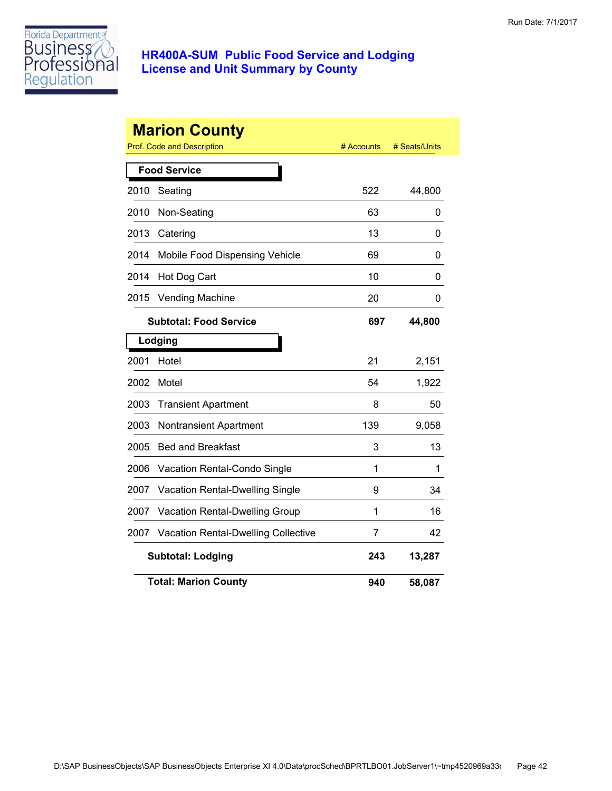

|      | <b>Marion County</b><br>Prof. Code and Description | # Accounts | # Seats/Units |  |  |
|------|----------------------------------------------------|------------|---------------|--|--|
|      | <b>Food Service</b>                                |            |               |  |  |
| 2010 | Seating                                            | 522        | 44,800        |  |  |
| 2010 | Non-Seating                                        | 63         | 0             |  |  |
| 2013 | Catering                                           | 13         | 0             |  |  |
| 2014 | Mobile Food Dispensing Vehicle                     | 69         | 0             |  |  |
| 2014 | Hot Dog Cart                                       | 10         | 0             |  |  |
| 2015 | <b>Vending Machine</b>                             | 20         | 0             |  |  |
|      | <b>Subtotal: Food Service</b>                      | 697        | 44,800        |  |  |
|      | Lodging                                            |            |               |  |  |
| 2001 | Hotel                                              | 21         | 2,151         |  |  |
| 2002 | Motel                                              | 54         | 1,922         |  |  |
| 2003 | <b>Transient Apartment</b>                         | 8          | 50            |  |  |
| 2003 | Nontransient Apartment                             | 139        | 9,058         |  |  |
| 2005 | <b>Bed and Breakfast</b>                           | 3          | 13            |  |  |
| 2006 | Vacation Rental-Condo Single                       | 1          | 1             |  |  |
| 2007 | Vacation Rental-Dwelling Single                    | 9          | 34            |  |  |
| 2007 | Vacation Rental-Dwelling Group                     | 1          | 16            |  |  |
| 2007 | <b>Vacation Rental-Dwelling Collective</b>         | 7          | 42            |  |  |
|      | <b>Subtotal: Lodging</b>                           | 243        | 13,287        |  |  |
|      | <b>Total: Marion County</b>                        | 940        | 58,087        |  |  |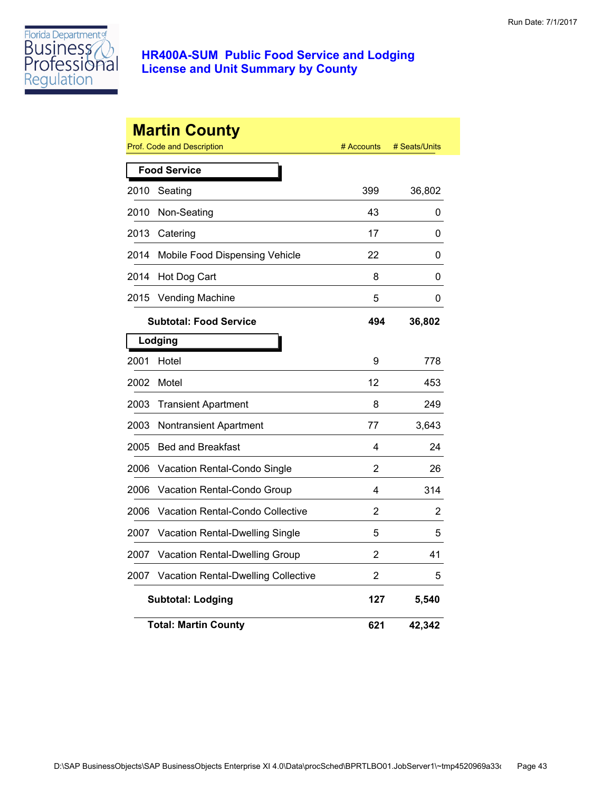

|      | <b>Martin County</b><br><b>Prof. Code and Description</b> | # Accounts | # Seats/Units |
|------|-----------------------------------------------------------|------------|---------------|
|      | <b>Food Service</b>                                       |            |               |
| 2010 | Seating                                                   | 399        | 36,802        |
| 2010 | Non-Seating                                               | 43         | 0             |
| 2013 | Catering                                                  | 17         | 0             |
| 2014 | Mobile Food Dispensing Vehicle                            | 22         | 0             |
| 2014 | Hot Dog Cart                                              | 8          | 0             |
| 2015 | <b>Vending Machine</b>                                    | 5          | 0             |
|      | <b>Subtotal: Food Service</b>                             | 494        | 36,802        |
|      | Lodging                                                   |            |               |
| 2001 | Hotel                                                     | 9          | 778           |
| 2002 | Motel                                                     | 12         | 453           |
| 2003 | <b>Transient Apartment</b>                                | 8          | 249           |
| 2003 | Nontransient Apartment                                    | 77         | 3,643         |
| 2005 | <b>Bed and Breakfast</b>                                  | 4          | 24            |
| 2006 | Vacation Rental-Condo Single                              | 2          | 26            |
| 2006 | Vacation Rental-Condo Group                               | 4          | 314           |
| 2006 | Vacation Rental-Condo Collective                          | 2          | 2             |
| 2007 | Vacation Rental-Dwelling Single                           | 5          | 5             |
| 2007 | Vacation Rental-Dwelling Group                            | 2          | 41            |
| 2007 | Vacation Rental-Dwelling Collective                       | 2          | 5             |
|      | <b>Subtotal: Lodging</b>                                  | 127        | 5,540         |
|      | <b>Total: Martin County</b>                               | 621        | 42,342        |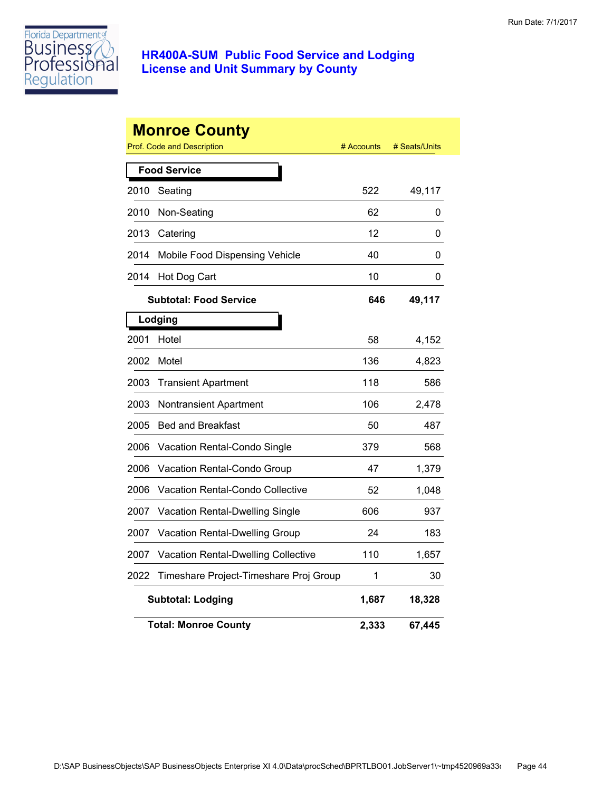

|      | <b>Monroe County</b>                              | # Accounts |               |
|------|---------------------------------------------------|------------|---------------|
|      | Prof. Code and Description<br><b>Food Service</b> |            | # Seats/Units |
|      |                                                   |            |               |
| 2010 | Seating                                           | 522        | 49,117        |
| 2010 | Non-Seating                                       | 62         | 0             |
| 2013 | Catering                                          | 12         | 0             |
| 2014 | Mobile Food Dispensing Vehicle                    | 40         | 0             |
| 2014 | Hot Dog Cart                                      | 10         | 0             |
|      | <b>Subtotal: Food Service</b>                     | 646        | 49,117        |
|      | Lodging                                           |            |               |
| 2001 | Hotel                                             | 58         | 4,152         |
| 2002 | Motel                                             | 136        | 4,823         |
| 2003 | <b>Transient Apartment</b>                        | 118        | 586           |
| 2003 | Nontransient Apartment                            | 106        | 2,478         |
| 2005 | <b>Bed and Breakfast</b>                          | 50         | 487           |
| 2006 | Vacation Rental-Condo Single                      | 379        | 568           |
| 2006 | Vacation Rental-Condo Group                       | 47         | 1,379         |
| 2006 | Vacation Rental-Condo Collective                  | 52         | 1,048         |
| 2007 | <b>Vacation Rental-Dwelling Single</b>            | 606        | 937           |
| 2007 | <b>Vacation Rental-Dwelling Group</b>             | 24         | 183           |
| 2007 | Vacation Rental-Dwelling Collective               | 110        | 1,657         |
| 2022 | Timeshare Project-Timeshare Proj Group            | 1          | 30            |
|      | <b>Subtotal: Lodging</b>                          | 1,687      | 18,328        |
|      | <b>Total: Monroe County</b>                       | 2,333      | 67,445        |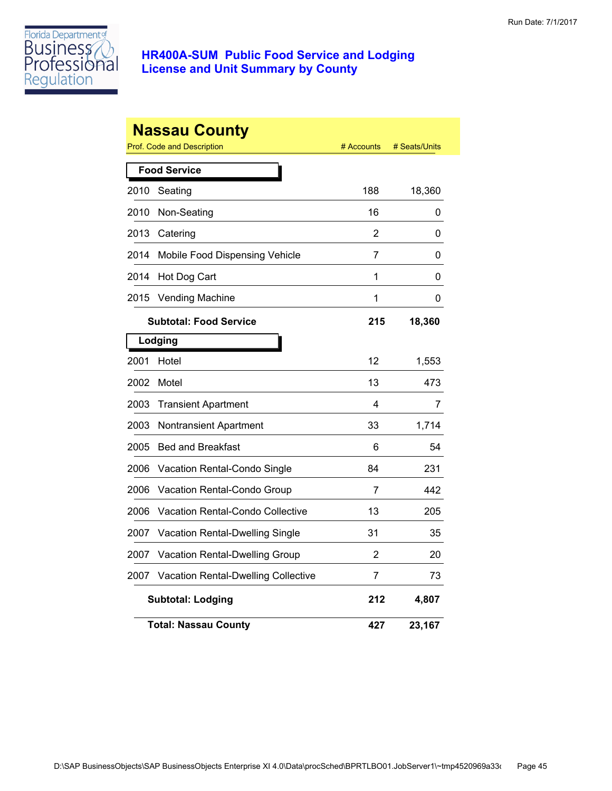

|      | <b>Nassau County</b><br><b>Prof. Code and Description</b> | # Accounts     | # Seats/Units |
|------|-----------------------------------------------------------|----------------|---------------|
|      | <b>Food Service</b>                                       |                |               |
| 2010 | Seating                                                   | 188            | 18,360        |
| 2010 | Non-Seating                                               | 16             | 0             |
| 2013 | Catering                                                  | $\overline{2}$ | 0             |
| 2014 | Mobile Food Dispensing Vehicle                            | 7              | 0             |
| 2014 | Hot Dog Cart                                              | 1              | 0             |
| 2015 | <b>Vending Machine</b>                                    | 1              | 0             |
|      | <b>Subtotal: Food Service</b>                             | 215            | 18,360        |
|      | Lodging                                                   |                |               |
| 2001 | Hotel                                                     | 12             | 1,553         |
| 2002 | Motel                                                     | 13             | 473           |
| 2003 | <b>Transient Apartment</b>                                | 4              | 7             |
| 2003 | Nontransient Apartment                                    | 33             | 1,714         |
| 2005 | <b>Bed and Breakfast</b>                                  | 6              | 54            |
| 2006 | Vacation Rental-Condo Single                              | 84             | 231           |
| 2006 | Vacation Rental-Condo Group                               | 7              | 442           |
| 2006 | <b>Vacation Rental-Condo Collective</b>                   | 13             | 205           |
| 2007 | <b>Vacation Rental-Dwelling Single</b>                    | 31             | 35            |
| 2007 | Vacation Rental-Dwelling Group                            | 2              | 20            |
| 2007 | <b>Vacation Rental-Dwelling Collective</b>                | 7              | 73            |
|      | <b>Subtotal: Lodging</b>                                  | 212            | 4,807         |
|      | <b>Total: Nassau County</b>                               | 427            | 23,167        |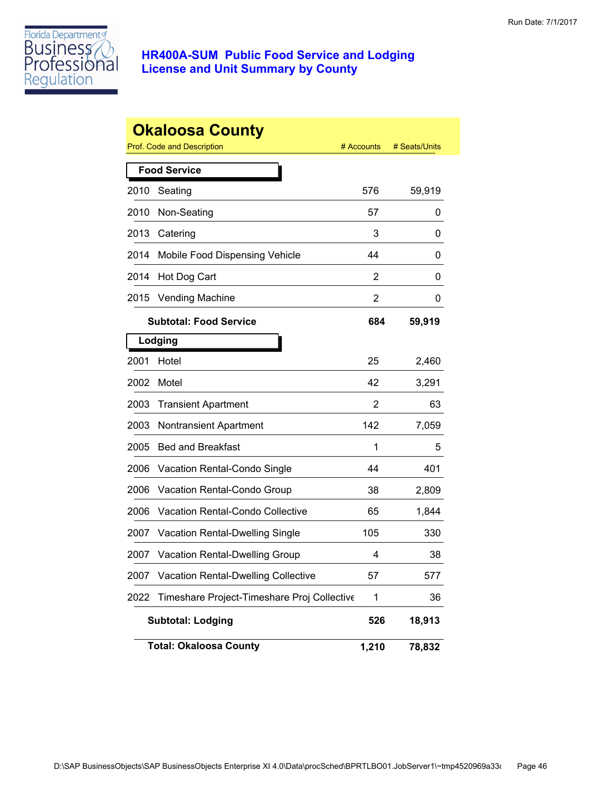

|      | <b>Okaloosa County</b>                      |            |               |
|------|---------------------------------------------|------------|---------------|
|      | Prof. Code and Description                  | # Accounts | # Seats/Units |
|      | <b>Food Service</b>                         |            |               |
| 2010 | Seating                                     | 576        | 59,919        |
| 2010 | Non-Seating                                 | 57         | 0             |
| 2013 | Catering                                    | 3          | 0             |
| 2014 | Mobile Food Dispensing Vehicle              | 44         | 0             |
| 2014 | Hot Dog Cart                                | 2          | 0             |
| 2015 | <b>Vending Machine</b>                      | 2          | 0             |
|      | <b>Subtotal: Food Service</b>               | 684        | 59,919        |
|      | Lodging                                     |            |               |
| 2001 | Hotel                                       | 25         | 2,460         |
| 2002 | Motel                                       | 42         | 3,291         |
| 2003 | <b>Transient Apartment</b>                  | 2          | 63            |
| 2003 | <b>Nontransient Apartment</b>               | 142        | 7,059         |
| 2005 | <b>Bed and Breakfast</b>                    | 1          | 5             |
| 2006 | Vacation Rental-Condo Single                | 44         | 401           |
| 2006 | Vacation Rental-Condo Group                 | 38         | 2,809         |
| 2006 | <b>Vacation Rental-Condo Collective</b>     | 65         | 1,844         |
| 2007 | Vacation Rental-Dwelling Single             | 105        | 330           |
| 2007 | Vacation Rental-Dwelling Group              | 4          | 38            |
| 2007 | <b>Vacation Rental-Dwelling Collective</b>  | 57         | 577           |
| 2022 | Timeshare Project-Timeshare Proj Collective | 1          | 36            |
|      | <b>Subtotal: Lodging</b>                    | 526        | 18,913        |
|      | <b>Total: Okaloosa County</b>               | 1,210      | 78,832        |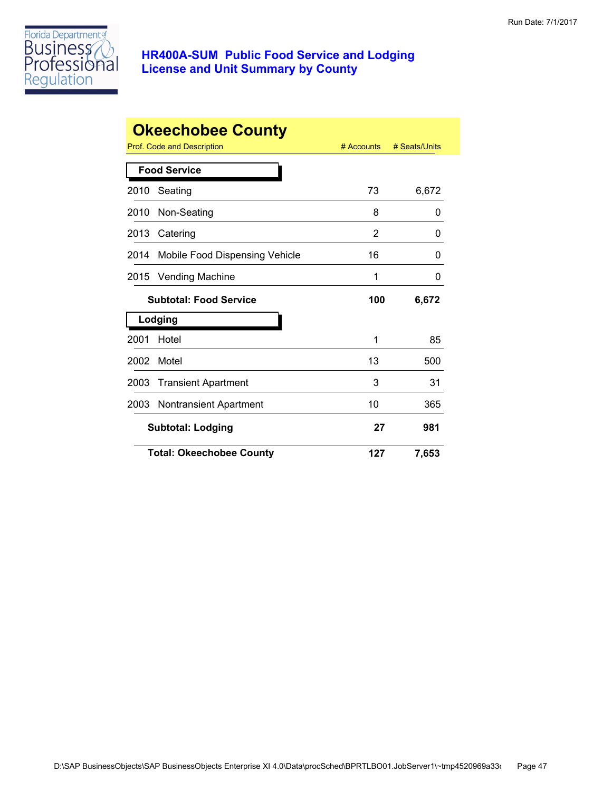

|                     | <b>Okeechobee County</b>              |            |               |  |
|---------------------|---------------------------------------|------------|---------------|--|
|                     | Prof. Code and Description            | # Accounts | # Seats/Units |  |
| <b>Food Service</b> |                                       |            |               |  |
| 2010                | Seating                               | 73         | 6,672         |  |
| 2010                | Non-Seating                           | 8          | 0             |  |
| 2013                | Catering                              | 2          | 0             |  |
| 2014                | Mobile Food Dispensing Vehicle        | 16         | 0             |  |
| 2015                | <b>Vending Machine</b>                | 1          | 0             |  |
|                     | <b>Subtotal: Food Service</b>         | 100        | 6,672         |  |
|                     | Lodging                               |            |               |  |
| 2001                | Hotel                                 | 1          | 85            |  |
| 2002                | Motel                                 | 13         | 500           |  |
| 2003                | <b>Transient Apartment</b>            | 3          | 31            |  |
| 2003                | <b>Nontransient Apartment</b>         | 10         | 365           |  |
|                     | 27<br><b>Subtotal: Lodging</b><br>981 |            |               |  |
|                     | <b>Total: Okeechobee County</b>       | 127        | 7,653         |  |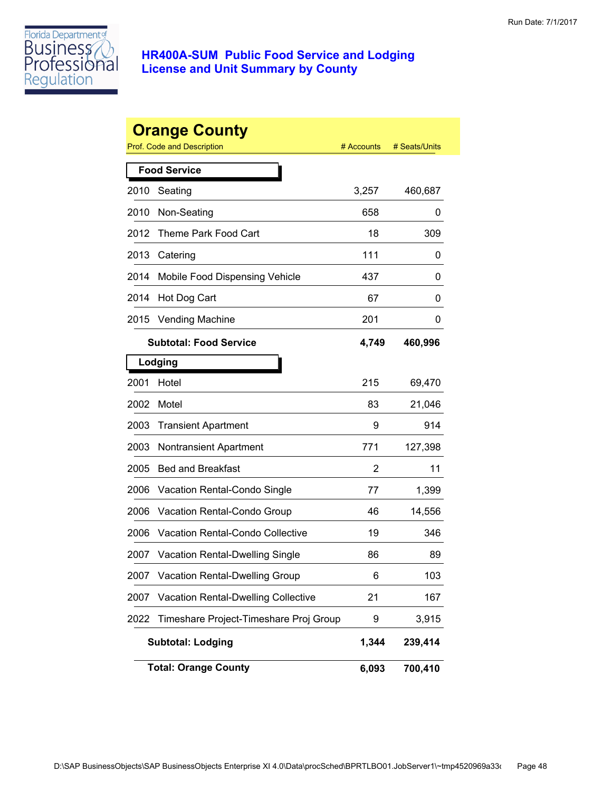

|      | <b>Orange County</b><br>Prof. Code and Description | # Accounts | # Seats/Units |
|------|----------------------------------------------------|------------|---------------|
|      | <b>Food Service</b>                                |            |               |
| 2010 | Seating                                            | 3,257      | 460,687       |
| 2010 | Non-Seating                                        | 658        | 0             |
| 2012 | Theme Park Food Cart                               | 18         | 309           |
| 2013 | Catering                                           | 111        | 0             |
| 2014 | Mobile Food Dispensing Vehicle                     | 437        | 0             |
| 2014 | Hot Dog Cart                                       | 67         | 0             |
| 2015 | <b>Vending Machine</b>                             | 201        | 0             |
|      |                                                    |            |               |
|      | <b>Subtotal: Food Service</b>                      | 4,749      | 460,996       |
|      | Lodging                                            |            |               |
| 2001 | Hotel                                              | 215        | 69,470        |
| 2002 | Motel                                              | 83         | 21,046        |
| 2003 | <b>Transient Apartment</b>                         | 9          | 914           |
| 2003 | <b>Nontransient Apartment</b>                      | 771        | 127,398       |
| 2005 | <b>Bed and Breakfast</b>                           | 2          | 11            |
| 2006 | Vacation Rental-Condo Single                       | 77         | 1,399         |
| 2006 | Vacation Rental-Condo Group                        | 46         | 14,556        |
| 2006 | Vacation Rental-Condo Collective                   | 19         | 346           |
| 2007 | Vacation Rental-Dwelling Single                    | 86         | 89            |
| 2007 | Vacation Rental-Dwelling Group                     | 6          | 103           |
| 2007 | <b>Vacation Rental-Dwelling Collective</b>         | 21         | 167           |
| 2022 | Timeshare Project-Timeshare Proj Group             | 9          | 3,915         |
|      | <b>Subtotal: Lodging</b>                           | 1,344      | 239,414       |
|      | <b>Total: Orange County</b>                        | 6,093      | 700,410       |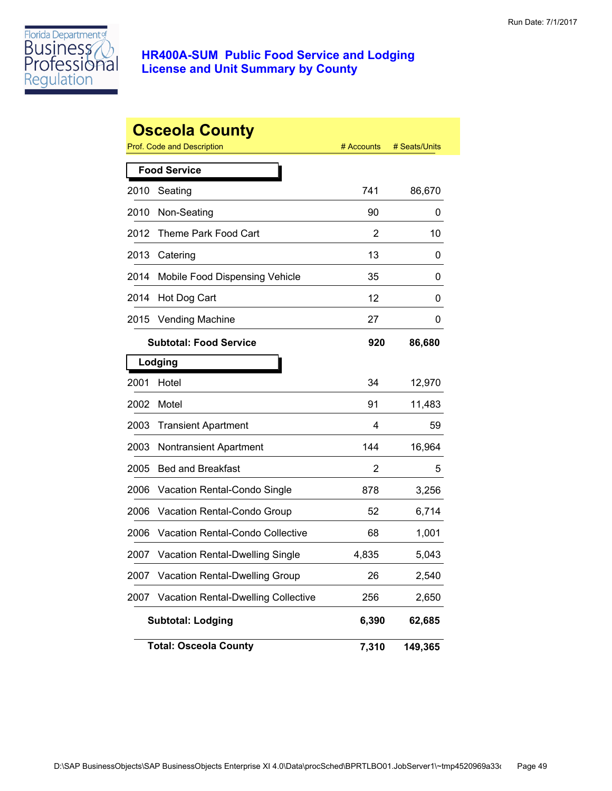

|      | <b>Osceola County</b>                      |            |               |
|------|--------------------------------------------|------------|---------------|
|      | <b>Prof. Code and Description</b>          | # Accounts | # Seats/Units |
|      | <b>Food Service</b>                        |            |               |
| 2010 | Seating                                    | 741        | 86,670        |
| 2010 | Non-Seating                                | 90         | 0             |
| 2012 | Theme Park Food Cart                       | 2          | 10            |
| 2013 | Catering                                   | 13         | 0             |
| 2014 | Mobile Food Dispensing Vehicle             | 35         | 0             |
| 2014 | Hot Dog Cart                               | 12         | 0             |
| 2015 | <b>Vending Machine</b>                     | 27         | 0             |
|      | <b>Subtotal: Food Service</b>              | 920        | 86,680        |
|      | Lodging                                    |            |               |
| 2001 | Hotel                                      | 34         | 12,970        |
| 2002 | Motel                                      | 91         | 11,483        |
| 2003 | <b>Transient Apartment</b>                 | 4          | 59            |
| 2003 | <b>Nontransient Apartment</b>              | 144        | 16,964        |
| 2005 | <b>Bed and Breakfast</b>                   | 2          | 5             |
| 2006 | Vacation Rental-Condo Single               | 878        | 3,256         |
| 2006 | Vacation Rental-Condo Group                | 52         | 6,714         |
| 2006 | <b>Vacation Rental-Condo Collective</b>    | 68         | 1,001         |
| 2007 | Vacation Rental-Dwelling Single            | 4,835      | 5,043         |
| 2007 | Vacation Rental-Dwelling Group             | 26         | 2,540         |
| 2007 | <b>Vacation Rental-Dwelling Collective</b> | 256        | 2,650         |
|      | <b>Subtotal: Lodging</b>                   | 6,390      | 62,685        |
|      | <b>Total: Osceola County</b>               | 7,310      | 149,365       |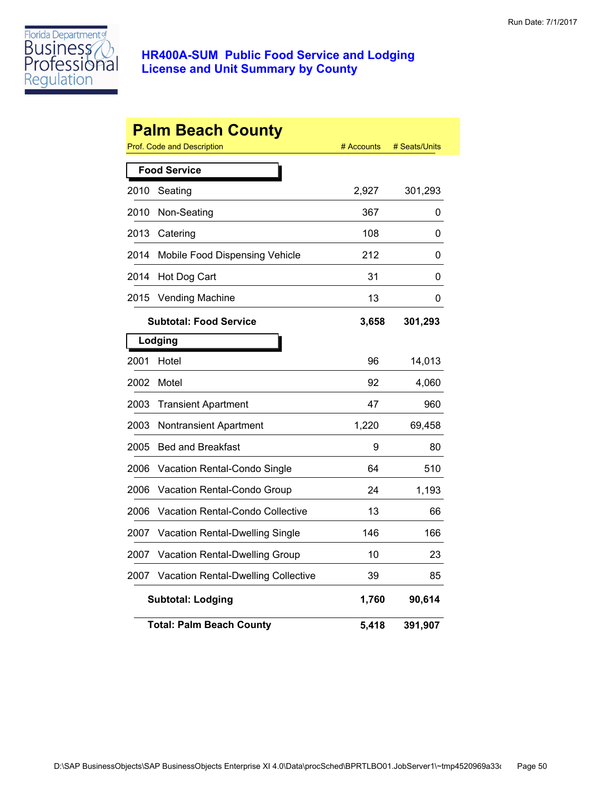

|      | <b>Palm Beach County</b><br>Prof. Code and Description | # Accounts | # Seats/Units |  |  |
|------|--------------------------------------------------------|------------|---------------|--|--|
|      | <b>Food Service</b>                                    |            |               |  |  |
| 2010 | Seating                                                | 2,927      | 301,293       |  |  |
| 2010 | Non-Seating                                            | 367        | 0             |  |  |
| 2013 | Catering                                               | 108        | 0             |  |  |
| 2014 | Mobile Food Dispensing Vehicle                         | 212        | 0             |  |  |
| 2014 | Hot Dog Cart                                           | 31         | 0             |  |  |
| 2015 | Vending Machine                                        | 13         | 0             |  |  |
|      | <b>Subtotal: Food Service</b>                          | 3,658      | 301,293       |  |  |
|      | Lodging                                                |            |               |  |  |
| 2001 | Hotel                                                  | 96         | 14,013        |  |  |
| 2002 | Motel                                                  | 92         | 4,060         |  |  |
| 2003 | <b>Transient Apartment</b>                             | 47         | 960           |  |  |
| 2003 | Nontransient Apartment                                 | 1,220      | 69,458        |  |  |
| 2005 | <b>Bed and Breakfast</b>                               | 9          | 80            |  |  |
| 2006 | Vacation Rental-Condo Single                           | 64         | 510           |  |  |
| 2006 | Vacation Rental-Condo Group                            | 24         | 1,193         |  |  |
| 2006 | <b>Vacation Rental-Condo Collective</b>                | 13         | 66            |  |  |
| 2007 | Vacation Rental-Dwelling Single                        | 146        | 166           |  |  |
| 2007 | Vacation Rental-Dwelling Group                         | 10         | 23            |  |  |
| 2007 | Vacation Rental-Dwelling Collective                    | 39         | 85            |  |  |
|      | <b>Subtotal: Lodging</b>                               | 1,760      | 90,614        |  |  |
|      | <b>Total: Palm Beach County</b>                        | 5,418      | 391,907       |  |  |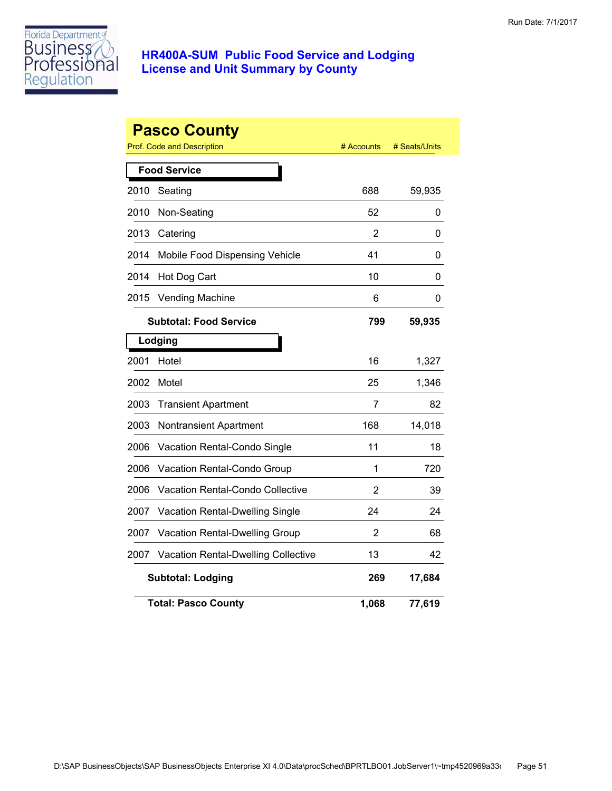

|      | <b>Pasco County</b><br>Prof. Code and Description | # Accounts     | # Seats/Units |
|------|---------------------------------------------------|----------------|---------------|
|      | <b>Food Service</b>                               |                |               |
| 2010 | Seating                                           | 688            | 59,935        |
| 2010 | Non-Seating                                       | 52             | 0             |
| 2013 | Catering                                          | 2              | 0             |
| 2014 | Mobile Food Dispensing Vehicle                    | 41             | 0             |
| 2014 | Hot Dog Cart                                      | 10             | 0             |
| 2015 | <b>Vending Machine</b>                            | 6              | 0             |
|      | <b>Subtotal: Food Service</b>                     | 799            | 59,935        |
|      | Lodging                                           |                |               |
| 2001 | Hotel                                             | 16             | 1,327         |
| 2002 | Motel                                             | 25             | 1,346         |
| 2003 | <b>Transient Apartment</b>                        | 7              | 82            |
| 2003 | Nontransient Apartment                            | 168            | 14,018        |
| 2006 | Vacation Rental-Condo Single                      | 11             | 18            |
| 2006 | Vacation Rental-Condo Group                       | 1              | 720           |
| 2006 | <b>Vacation Rental-Condo Collective</b>           | $\overline{2}$ | 39            |
| 2007 | Vacation Rental-Dwelling Single                   | 24             | 24            |
| 2007 | Vacation Rental-Dwelling Group                    | $\overline{2}$ | 68            |
| 2007 | <b>Vacation Rental-Dwelling Collective</b>        | 13             | 42            |
|      | <b>Subtotal: Lodging</b>                          | 269            | 17,684        |
|      | <b>Total: Pasco County</b>                        | 1,068          | 77,619        |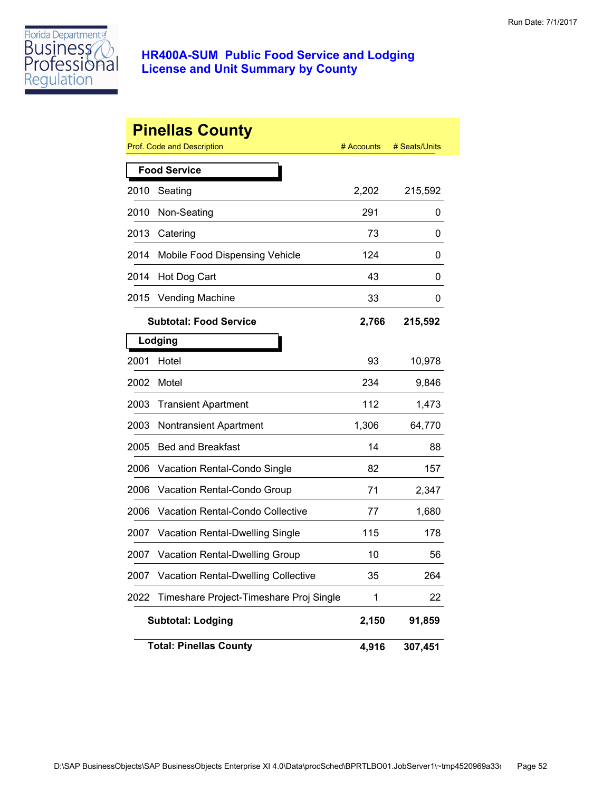

|      | <b>Pinellas County</b>                     |            |               |
|------|--------------------------------------------|------------|---------------|
|      | Prof. Code and Description                 | # Accounts | # Seats/Units |
|      | <b>Food Service</b>                        |            |               |
| 2010 | Seating                                    | 2,202      | 215,592       |
| 2010 | Non-Seating                                | 291        | 0             |
| 2013 | Catering                                   | 73         | 0             |
| 2014 | Mobile Food Dispensing Vehicle             | 124        | 0             |
| 2014 | Hot Dog Cart                               | 43         | 0             |
| 2015 | <b>Vending Machine</b>                     | 33         | 0             |
|      | <b>Subtotal: Food Service</b>              | 2,766      | 215,592       |
|      | Lodging                                    |            |               |
| 2001 | Hotel                                      | 93         | 10,978        |
| 2002 | Motel                                      | 234        | 9,846         |
| 2003 | <b>Transient Apartment</b>                 | 112        | 1,473         |
| 2003 | <b>Nontransient Apartment</b>              | 1,306      | 64,770        |
| 2005 | <b>Bed and Breakfast</b>                   | 14         | 88            |
| 2006 | Vacation Rental-Condo Single               | 82         | 157           |
| 2006 | Vacation Rental-Condo Group                | 71         | 2,347         |
| 2006 | <b>Vacation Rental-Condo Collective</b>    | 77         | 1,680         |
| 2007 | Vacation Rental-Dwelling Single            | 115        | 178           |
| 2007 | <b>Vacation Rental-Dwelling Group</b>      | 10         | 56            |
| 2007 | <b>Vacation Rental-Dwelling Collective</b> | 35         | 264           |
| 2022 | Timeshare Project-Timeshare Proj Single    | 1          | 22            |
|      | <b>Subtotal: Lodging</b>                   | 2,150      | 91,859        |
|      | <b>Total: Pinellas County</b>              | 4,916      | 307,451       |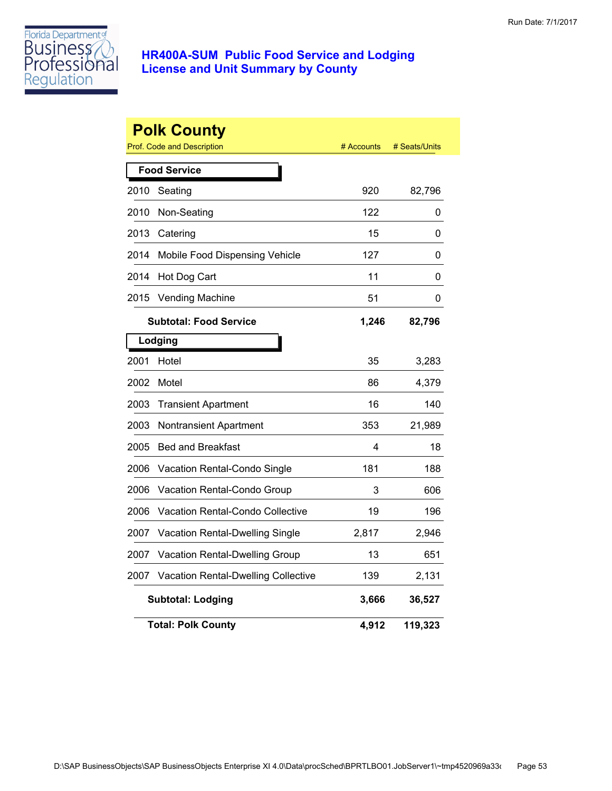

|                     | <b>Polk County</b><br>Prof. Code and Description | # Accounts | # Seats/Units |  |
|---------------------|--------------------------------------------------|------------|---------------|--|
| <b>Food Service</b> |                                                  |            |               |  |
| 2010                | Seating                                          | 920        | 82,796        |  |
| 2010                | Non-Seating                                      | 122        | 0             |  |
| 2013                | Catering                                         | 15         | 0             |  |
| 2014                | Mobile Food Dispensing Vehicle                   | 127        | 0             |  |
| 2014                | Hot Dog Cart                                     | 11         | 0             |  |
| 2015                | Vending Machine                                  | 51         | 0             |  |
|                     | <b>Subtotal: Food Service</b>                    | 1,246      | 82,796        |  |
|                     | Lodging                                          |            |               |  |
| 2001                | Hotel                                            | 35         | 3,283         |  |
| 2002                | Motel                                            | 86         | 4,379         |  |
| 2003                | <b>Transient Apartment</b>                       | 16         | 140           |  |
| 2003                | Nontransient Apartment                           | 353        | 21,989        |  |
| 2005                | <b>Bed and Breakfast</b>                         | 4          | 18            |  |
| 2006                | Vacation Rental-Condo Single                     | 181        | 188           |  |
| 2006                | Vacation Rental-Condo Group                      | 3          | 606           |  |
| 2006                | Vacation Rental-Condo Collective                 | 19         | 196           |  |
| 2007                | <b>Vacation Rental-Dwelling Single</b>           | 2,817      | 2,946         |  |
| 2007                | Vacation Rental-Dwelling Group                   | 13         | 651           |  |
| 2007                | <b>Vacation Rental-Dwelling Collective</b>       | 139        | 2,131         |  |
|                     | <b>Subtotal: Lodging</b>                         | 3,666      | 36,527        |  |
|                     | <b>Total: Polk County</b>                        | 4,912      | 119,323       |  |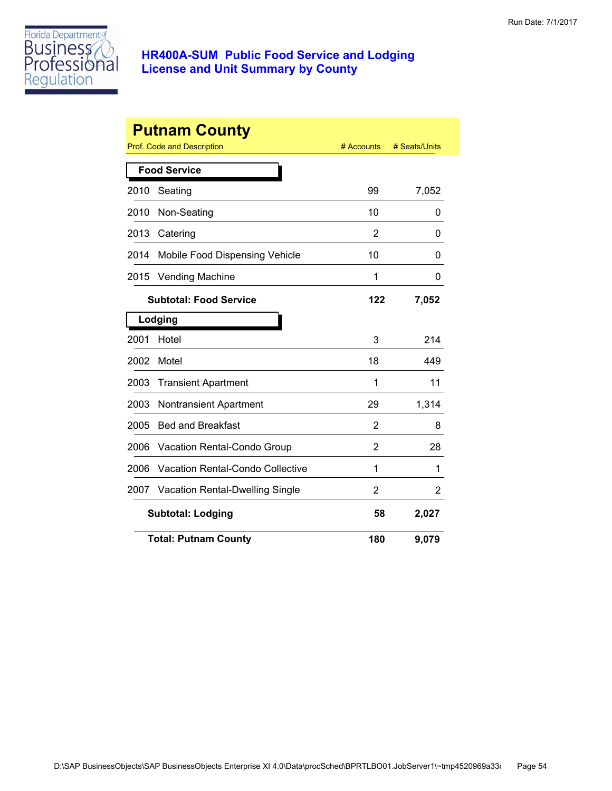

|      | <b>Putnam County</b>                    |                |               |
|------|-----------------------------------------|----------------|---------------|
|      | Prof. Code and Description              | # Accounts     | # Seats/Units |
|      | <b>Food Service</b>                     |                |               |
| 2010 | Seating                                 | 99             | 7,052         |
| 2010 | Non-Seating                             | 10             | 0             |
| 2013 | Catering                                | 2              | 0             |
| 2014 | Mobile Food Dispensing Vehicle          | 10             | 0             |
| 2015 | <b>Vending Machine</b>                  | 1              | 0             |
|      | <b>Subtotal: Food Service</b>           | 122            | 7,052         |
|      | Lodging                                 |                |               |
| 2001 | Hotel                                   | 3              | 214           |
| 2002 | Motel                                   | 18             | 449           |
| 2003 | <b>Transient Apartment</b>              | 1              | 11            |
| 2003 | <b>Nontransient Apartment</b>           | 29             | 1,314         |
| 2005 | <b>Bed and Breakfast</b>                | 2              | 8             |
| 2006 | Vacation Rental-Condo Group             | $\overline{2}$ | 28            |
| 2006 | <b>Vacation Rental-Condo Collective</b> | 1              | 1             |
| 2007 | Vacation Rental-Dwelling Single         | 2              | 2             |
|      | <b>Subtotal: Lodging</b>                | 58             | 2,027         |
|      | <b>Total: Putnam County</b>             | 180            | 9,079         |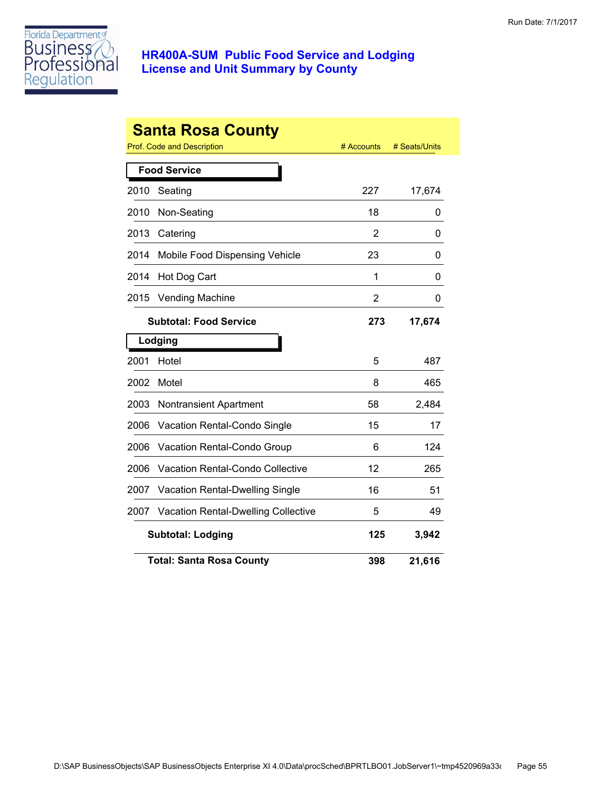

|      | <b>Santa Rosa County</b><br>Prof. Code and Description | # Accounts     | # Seats/Units |
|------|--------------------------------------------------------|----------------|---------------|
|      | <b>Food Service</b>                                    |                |               |
| 2010 | Seating                                                | 227            | 17,674        |
| 2010 | Non-Seating                                            | 18             | 0             |
| 2013 | Catering                                               | 2              | 0             |
| 2014 | Mobile Food Dispensing Vehicle                         | 23             | 0             |
| 2014 | Hot Dog Cart                                           | 1              | 0             |
| 2015 | <b>Vending Machine</b>                                 | $\overline{2}$ | 0             |
|      | <b>Subtotal: Food Service</b>                          | 273            | 17,674        |
|      | Lodging                                                |                |               |
| 2001 | Hotel                                                  | 5              | 487           |
| 2002 | Motel                                                  | 8              | 465           |
| 2003 | Nontransient Apartment                                 | 58             | 2,484         |
| 2006 | Vacation Rental-Condo Single                           | 15             | 17            |
| 2006 | Vacation Rental-Condo Group                            | 6              | 124           |
| 2006 | <b>Vacation Rental-Condo Collective</b>                | 12             | 265           |
| 2007 | <b>Vacation Rental-Dwelling Single</b>                 | 16             | 51            |
| 2007 | <b>Vacation Rental-Dwelling Collective</b>             | 5              | 49            |
|      | <b>Subtotal: Lodging</b>                               | 125            | 3,942         |
|      | <b>Total: Santa Rosa County</b>                        | 398            | 21,616        |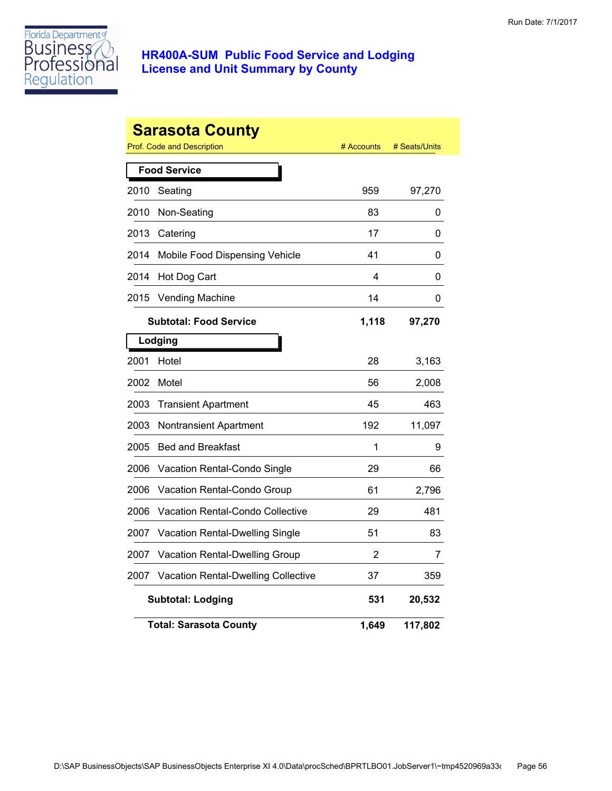

|      | <b>Sarasota County</b><br>Prof. Code and Description | # Accounts | # Seats/Units |
|------|------------------------------------------------------|------------|---------------|
|      | <b>Food Service</b>                                  |            |               |
| 2010 | Seating                                              | 959        | 97,270        |
| 2010 | Non-Seating                                          | 83         | 0             |
| 2013 | Catering                                             | 17         | 0             |
| 2014 | Mobile Food Dispensing Vehicle                       | 41         | 0             |
| 2014 | Hot Dog Cart                                         | 4          | 0             |
| 2015 | <b>Vending Machine</b>                               | 14         | 0             |
|      | <b>Subtotal: Food Service</b>                        | 1,118      | 97,270        |
|      | Lodging                                              |            |               |
| 2001 | Hotel                                                | 28         | 3,163         |
| 2002 | Motel                                                | 56         | 2,008         |
| 2003 | <b>Transient Apartment</b>                           | 45         | 463           |
| 2003 | <b>Nontransient Apartment</b>                        | 192        | 11,097        |
| 2005 | <b>Bed and Breakfast</b>                             | 1          | 9             |
| 2006 | Vacation Rental-Condo Single                         | 29         | 66            |
| 2006 | Vacation Rental-Condo Group                          | 61         | 2,796         |
| 2006 | Vacation Rental-Condo Collective                     | 29         | 481           |
| 2007 | Vacation Rental-Dwelling Single                      | 51         | 83            |
| 2007 | Vacation Rental-Dwelling Group                       | 2          | 7             |
| 2007 | <b>Vacation Rental-Dwelling Collective</b>           | 37         | 359           |
|      | <b>Subtotal: Lodging</b>                             | 531        | 20,532        |
|      | <b>Total: Sarasota County</b>                        | 1,649      | 117,802       |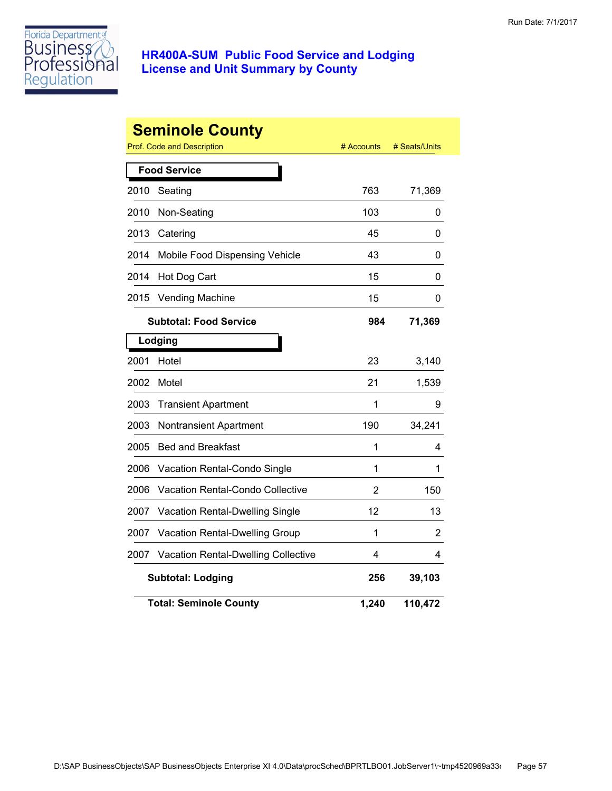

|      | <b>Seminole County</b><br>Prof. Code and Description | # Accounts     | # Seats/Units |
|------|------------------------------------------------------|----------------|---------------|
|      | <b>Food Service</b>                                  |                |               |
| 2010 | Seating                                              | 763            | 71,369        |
| 2010 | Non-Seating                                          | 103            | 0             |
| 2013 | Catering                                             | 45             | 0             |
| 2014 | Mobile Food Dispensing Vehicle                       | 43             | 0             |
| 2014 | Hot Dog Cart                                         | 15             | 0             |
| 2015 | <b>Vending Machine</b>                               | 15             | 0             |
|      | <b>Subtotal: Food Service</b>                        | 984            | 71,369        |
|      | Lodging                                              |                |               |
| 2001 | Hotel                                                | 23             | 3,140         |
| 2002 | Motel                                                | 21             | 1,539         |
| 2003 | <b>Transient Apartment</b>                           | 1              | 9             |
| 2003 | Nontransient Apartment                               | 190            | 34,241        |
| 2005 | <b>Bed and Breakfast</b>                             | 1              | 4             |
| 2006 | Vacation Rental-Condo Single                         | 1              | 1             |
| 2006 | <b>Vacation Rental-Condo Collective</b>              | $\overline{2}$ | 150           |
| 2007 | Vacation Rental-Dwelling Single                      | 12             | 13            |
| 2007 | Vacation Rental-Dwelling Group                       | 1              | 2             |
| 2007 | <b>Vacation Rental-Dwelling Collective</b>           | 4              | 4             |
|      | <b>Subtotal: Lodging</b>                             | 256            | 39,103        |
|      | <b>Total: Seminole County</b>                        | 1,240          | 110,472       |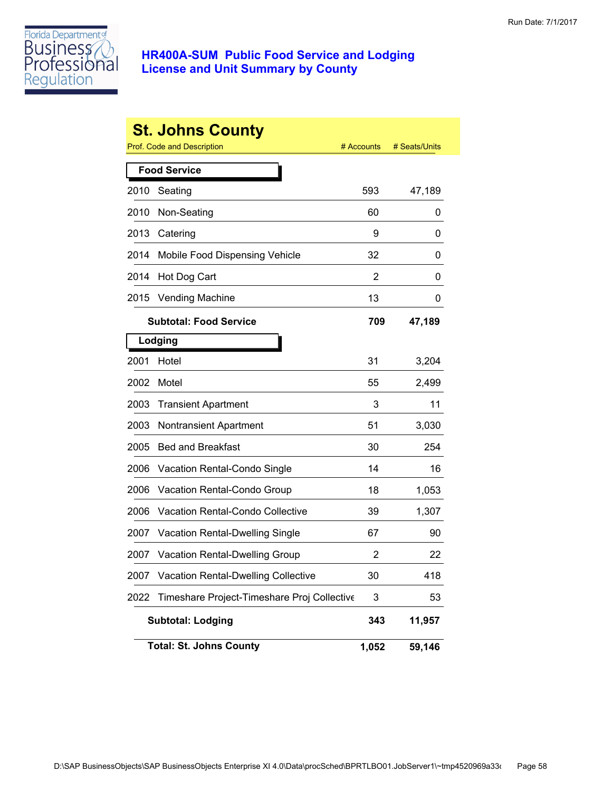

|      | <b>St. Johns County</b><br>Prof. Code and Description | # Accounts | # Seats/Units |
|------|-------------------------------------------------------|------------|---------------|
|      | <b>Food Service</b>                                   |            |               |
| 2010 | Seating                                               | 593        | 47,189        |
| 2010 | Non-Seating                                           | 60         | 0             |
| 2013 | Catering                                              | 9          | 0             |
| 2014 | Mobile Food Dispensing Vehicle                        | 32         | 0             |
| 2014 | Hot Dog Cart                                          | 2          | 0             |
| 2015 | <b>Vending Machine</b>                                | 13         | 0             |
|      | <b>Subtotal: Food Service</b>                         | 709        | 47,189        |
|      | Lodging                                               |            |               |
| 2001 | Hotel                                                 | 31         | 3,204         |
| 2002 | Motel                                                 | 55         | 2,499         |
| 2003 | <b>Transient Apartment</b>                            | 3          | 11            |
| 2003 | <b>Nontransient Apartment</b>                         | 51         | 3,030         |
| 2005 | <b>Bed and Breakfast</b>                              | 30         | 254           |
| 2006 | Vacation Rental-Condo Single                          | 14         | 16            |
| 2006 | Vacation Rental-Condo Group                           | 18         | 1,053         |
| 2006 | <b>Vacation Rental-Condo Collective</b>               | 39         | 1,307         |
| 2007 | Vacation Rental-Dwelling Single                       | 67         | 90            |
| 2007 | <b>Vacation Rental-Dwelling Group</b>                 | 2          | 22            |
| 2007 | <b>Vacation Rental-Dwelling Collective</b>            | 30         | 418           |
| 2022 | Timeshare Project-Timeshare Proj Collective           | 3          | 53            |
|      | <b>Subtotal: Lodging</b>                              | 343        | 11,957        |
|      | <b>Total: St. Johns County</b>                        | 1,052      | 59,146        |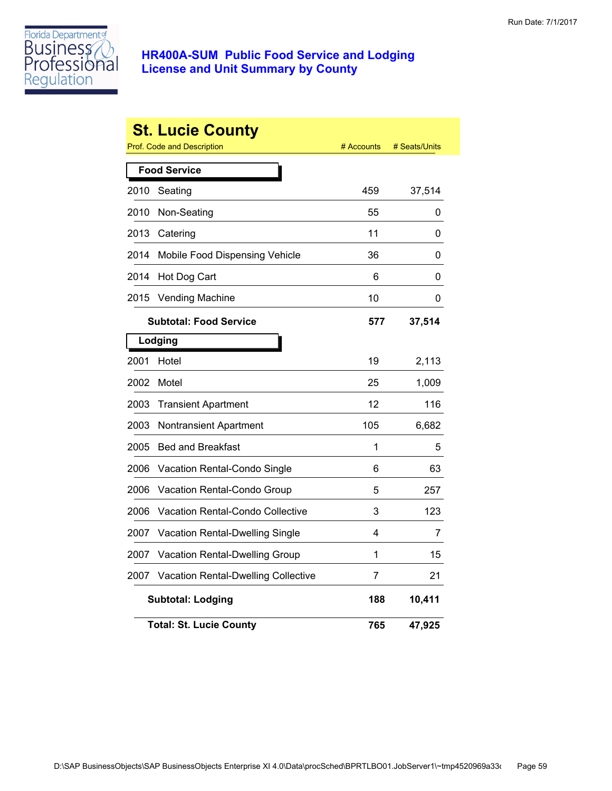

|      | <b>St. Lucie County</b>             |            |               |
|------|-------------------------------------|------------|---------------|
|      | <b>Prof. Code and Description</b>   | # Accounts | # Seats/Units |
|      | <b>Food Service</b>                 |            |               |
| 2010 | Seating                             | 459        | 37,514        |
| 2010 | Non-Seating                         | 55         | 0             |
| 2013 | Catering                            | 11         | 0             |
| 2014 | Mobile Food Dispensing Vehicle      | 36         | 0             |
| 2014 | Hot Dog Cart                        | 6          | 0             |
| 2015 | <b>Vending Machine</b>              | 10         | 0             |
|      | <b>Subtotal: Food Service</b>       | 577        | 37,514        |
|      | Lodging                             |            |               |
| 2001 | Hotel                               | 19         | 2,113         |
| 2002 | Motel                               | 25         | 1,009         |
| 2003 | <b>Transient Apartment</b>          | 12         | 116           |
| 2003 | Nontransient Apartment              | 105        | 6,682         |
| 2005 | <b>Bed and Breakfast</b>            | 1          | 5             |
| 2006 | Vacation Rental-Condo Single        | 6          | 63            |
| 2006 | Vacation Rental-Condo Group         | 5          | 257           |
| 2006 | Vacation Rental-Condo Collective    | 3          | 123           |
| 2007 | Vacation Rental-Dwelling Single     | 4          | 7             |
| 2007 | Vacation Rental-Dwelling Group      | 1          | 15            |
| 2007 | Vacation Rental-Dwelling Collective | 7          | 21            |
|      | <b>Subtotal: Lodging</b>            | 188        | 10,411        |
|      | <b>Total: St. Lucie County</b>      | 765        | 47,925        |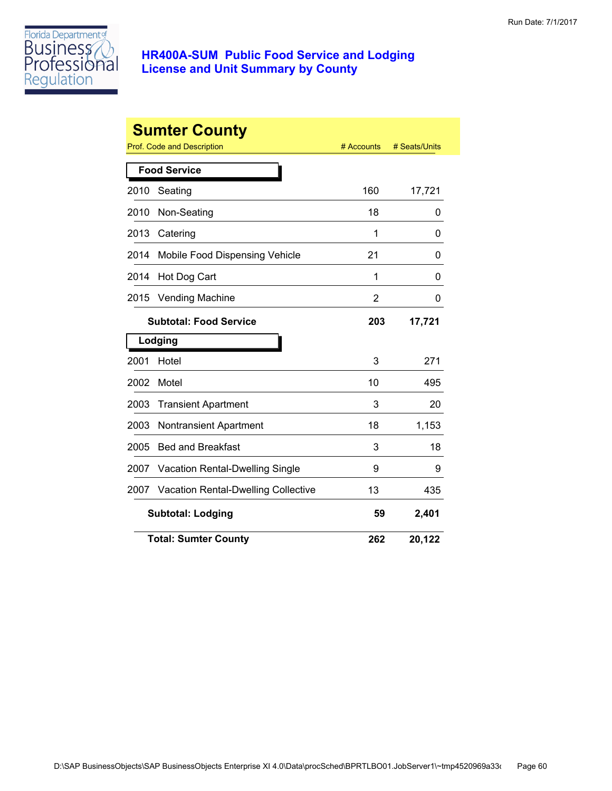

|      | <b>Sumter County</b>                       |                |               |
|------|--------------------------------------------|----------------|---------------|
|      | <b>Prof. Code and Description</b>          | # Accounts     | # Seats/Units |
|      | <b>Food Service</b>                        |                |               |
| 2010 | Seating                                    | 160            | 17,721        |
| 2010 | Non-Seating                                | 18             | 0             |
| 2013 | Catering                                   | 1              | 0             |
| 2014 | Mobile Food Dispensing Vehicle             | 21             | 0             |
| 2014 | Hot Dog Cart                               | 1              | 0             |
| 2015 | <b>Vending Machine</b>                     | $\overline{2}$ | 0             |
|      | <b>Subtotal: Food Service</b>              | 203            | 17,721        |
|      | Lodging                                    |                |               |
| 2001 | Hotel                                      | 3              | 271           |
| 2002 | Motel                                      | 10             | 495           |
| 2003 | <b>Transient Apartment</b>                 | 3              | 20            |
| 2003 | <b>Nontransient Apartment</b>              | 18             | 1,153         |
| 2005 | <b>Bed and Breakfast</b>                   | 3              | 18            |
| 2007 | Vacation Rental-Dwelling Single            | 9              | 9             |
| 2007 | <b>Vacation Rental-Dwelling Collective</b> | 13             | 435           |
|      | <b>Subtotal: Lodging</b>                   | 59             | 2,401         |
|      | <b>Total: Sumter County</b>                | 262            | 20,122        |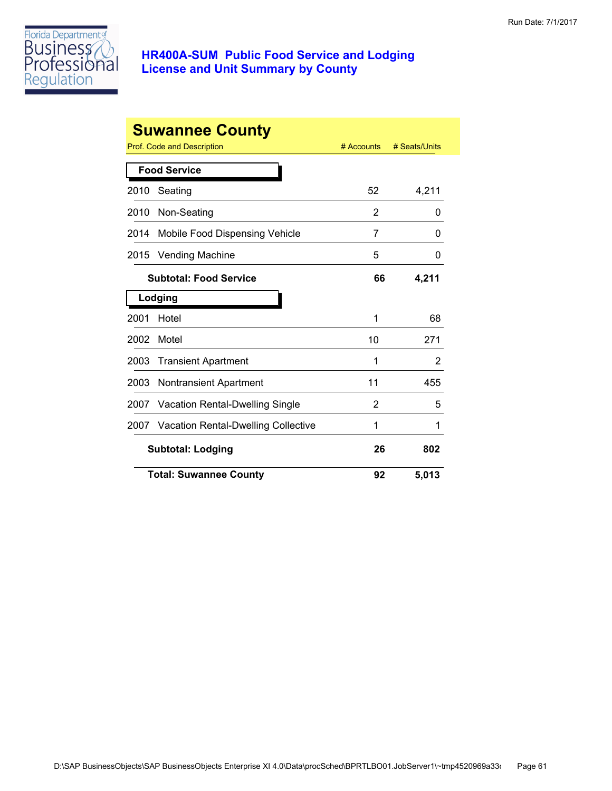

| <b>Suwannee County</b> |                                          |            |               |
|------------------------|------------------------------------------|------------|---------------|
|                        | Prof. Code and Description               | # Accounts | # Seats/Units |
| <b>Food Service</b>    |                                          |            |               |
| 2010                   | Seating                                  | 52         | 4,211         |
| 2010                   | Non-Seating                              | 2          | 0             |
| 2014                   | Mobile Food Dispensing Vehicle           | 7          | 0             |
| 2015                   | <b>Vending Machine</b>                   | 5          | 0             |
|                        | <b>Subtotal: Food Service</b>            | 66         | 4,211         |
| Lodging                |                                          |            |               |
| 2001                   | Hotel                                    | 1          | 68            |
| 2002                   | Motel                                    | 10         | 271           |
| 2003                   | <b>Transient Apartment</b>               | 1          | 2             |
| 2003                   | <b>Nontransient Apartment</b>            | 11         | 455           |
| 2007                   | <b>Vacation Rental-Dwelling Single</b>   | 2          | 5             |
|                        | 2007 Vacation Rental-Dwelling Collective | 1          | 1             |
|                        | <b>Subtotal: Lodging</b>                 |            | 802           |
|                        | <b>Total: Suwannee County</b>            | 92         | 5,013         |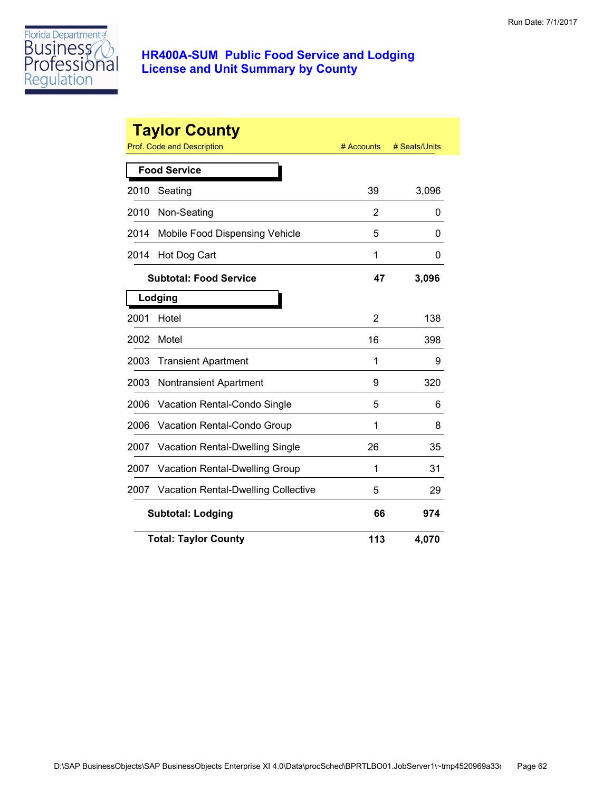

|      | <b>Taylor County</b><br><b>Prof. Code and Description</b> | # Accounts | # Seats/Units |
|------|-----------------------------------------------------------|------------|---------------|
|      | <b>Food Service</b>                                       |            |               |
| 2010 | Seating                                                   | 39         | 3,096         |
| 2010 | Non-Seating                                               | 2          | 0             |
| 2014 | Mobile Food Dispensing Vehicle                            | 5          | 0             |
| 2014 | Hot Dog Cart                                              | 1          | 0             |
|      | <b>Subtotal: Food Service</b>                             | 47         | 3,096         |
|      | Lodging                                                   |            |               |
| 2001 | Hotel                                                     | 2          | 138           |
| 2002 | Motel                                                     | 16         | 398           |
| 2003 | <b>Transient Apartment</b>                                | 1          | 9             |
| 2003 | <b>Nontransient Apartment</b>                             | 9          | 320           |
| 2006 | <b>Vacation Rental-Condo Single</b>                       | 5          | 6             |
| 2006 | Vacation Rental-Condo Group                               | 1          | 8             |
| 2007 | Vacation Rental-Dwelling Single                           | 26         | 35            |
| 2007 | Vacation Rental-Dwelling Group                            | 1          | 31            |
| 2007 | <b>Vacation Rental-Dwelling Collective</b>                | 5          | 29            |
|      | <b>Subtotal: Lodging</b>                                  | 66         | 974           |
|      | <b>Total: Taylor County</b>                               | 113        | 4,070         |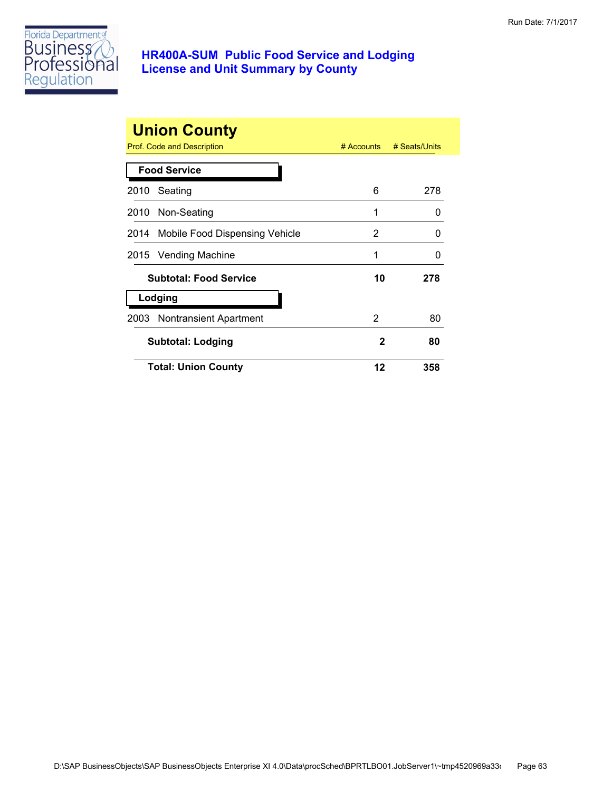

| <b>Union County</b><br>Prof. Code and Description<br># Seats/Units<br>$#$ Accounts |                                     |    |     |
|------------------------------------------------------------------------------------|-------------------------------------|----|-----|
| <b>Food Service</b>                                                                |                                     |    |     |
| 2010                                                                               | Seating                             | 6  | 278 |
|                                                                                    | 2010 Non-Seating                    | 1  | O   |
|                                                                                    | 2014 Mobile Food Dispensing Vehicle | 2  | O   |
|                                                                                    | 2015 Vending Machine                | 1  | O   |
|                                                                                    | <b>Subtotal: Food Service</b>       | 10 | 278 |
| Lodging                                                                            |                                     |    |     |
|                                                                                    | 2003 Nontransient Apartment         | 2  | 80  |
|                                                                                    | <b>Subtotal: Lodging</b>            | 2  | 80  |
|                                                                                    | <b>Total: Union County</b>          | 12 | 358 |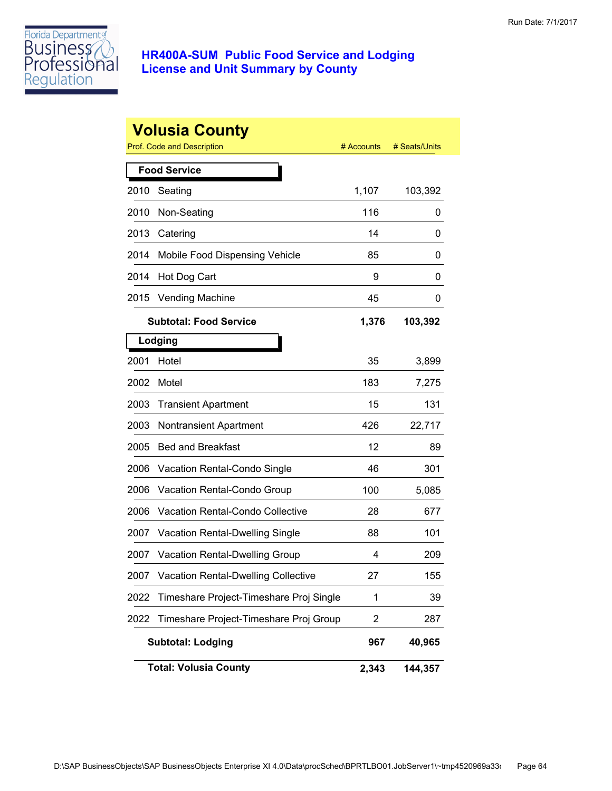

|      | <b>Volusia County</b><br>Prof. Code and Description | # Accounts | # Seats/Units |
|------|-----------------------------------------------------|------------|---------------|
|      | <b>Food Service</b>                                 |            |               |
| 2010 | Seating                                             | 1,107      | 103,392       |
| 2010 | Non-Seating                                         | 116        | 0             |
| 2013 | Catering                                            | 14         | 0             |
| 2014 | Mobile Food Dispensing Vehicle                      | 85         | 0             |
| 2014 | Hot Dog Cart                                        | 9          | 0             |
| 2015 | <b>Vending Machine</b>                              | 45         | 0             |
|      | <b>Subtotal: Food Service</b>                       | 1,376      | 103,392       |
|      | Lodging                                             |            |               |
| 2001 | Hotel                                               | 35         | 3,899         |
| 2002 | Motel                                               | 183        | 7,275         |
| 2003 | <b>Transient Apartment</b>                          | 15         | 131           |
| 2003 | <b>Nontransient Apartment</b>                       | 426        | 22,717        |
| 2005 | <b>Bed and Breakfast</b>                            | 12         | 89            |
| 2006 | Vacation Rental-Condo Single                        | 46         | 301           |
| 2006 | Vacation Rental-Condo Group                         | 100        | 5,085         |
| 2006 | <b>Vacation Rental-Condo Collective</b>             | 28         | 677           |
| 2007 | <b>Vacation Rental-Dwelling Single</b>              | 88         | 101           |
| 2007 | Vacation Rental-Dwelling Group                      | 4          | 209           |
| 2007 | <b>Vacation Rental-Dwelling Collective</b>          | 27         | 155           |
| 2022 | Timeshare Project-Timeshare Proj Single             | 1          | 39            |
| 2022 | Timeshare Project-Timeshare Proj Group              | 2          | 287           |
|      | <b>Subtotal: Lodging</b>                            | 967        | 40,965        |
|      | <b>Total: Volusia County</b>                        | 2,343      | 144,357       |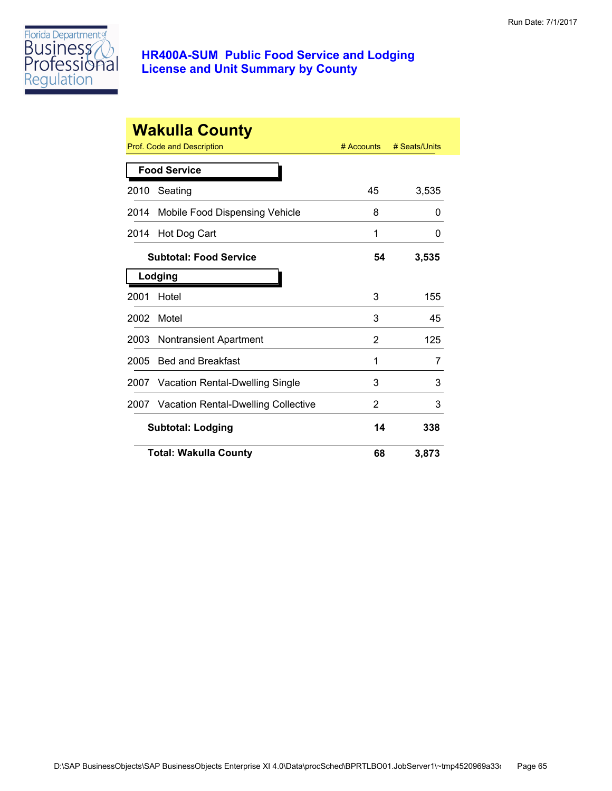

| <b>Wakulla County</b>    |                                     |              |               |
|--------------------------|-------------------------------------|--------------|---------------|
|                          | Prof. Code and Description          | $#$ Accounts | # Seats/Units |
|                          | <b>Food Service</b>                 |              |               |
| 2010                     | Seating                             | 45           | 3,535         |
| 2014                     | Mobile Food Dispensing Vehicle      | 8            | 0             |
| 2014                     | Hot Dog Cart                        | 1            | 0             |
|                          | <b>Subtotal: Food Service</b>       | 54           | 3,535         |
|                          | Lodging                             |              |               |
| 2001                     | Hotel                               | 3            | 155           |
| 2002                     | Motel                               | 3            | 45            |
| 2003                     | <b>Nontransient Apartment</b>       | 2            | 125           |
| 2005                     | <b>Bed and Breakfast</b>            | 1            | 7             |
| 2007                     | Vacation Rental-Dwelling Single     | 3            | 3             |
| 2007                     | Vacation Rental-Dwelling Collective | 2            | 3             |
| <b>Subtotal: Lodging</b> |                                     | 14           | 338           |
|                          | <b>Total: Wakulla County</b>        | 68           | 3,873         |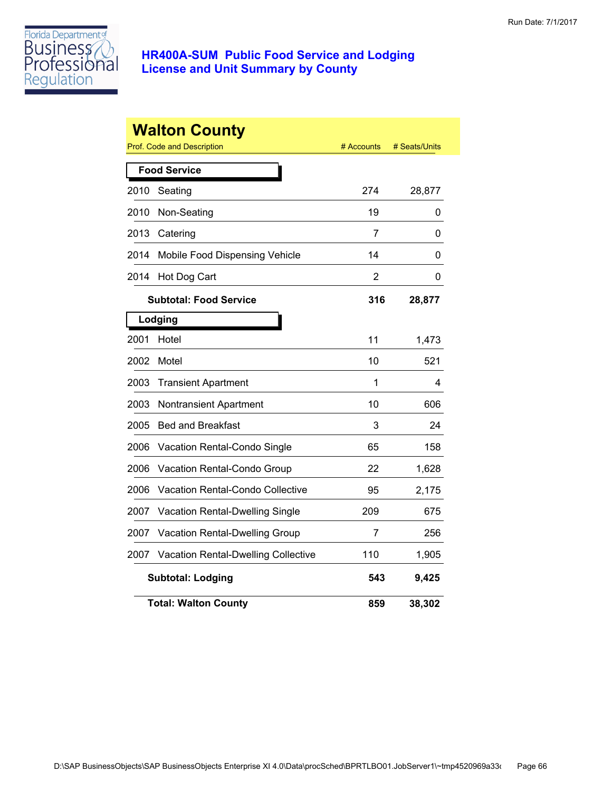

|      | <b>Walton County</b><br><b>Prof. Code and Description</b> | # Accounts     | # Seats/Units |
|------|-----------------------------------------------------------|----------------|---------------|
|      | <b>Food Service</b>                                       |                |               |
| 2010 | Seating                                                   | 274            | 28,877        |
| 2010 | Non-Seating                                               | 19             | 0             |
| 2013 | Catering                                                  | 7              | 0             |
| 2014 | Mobile Food Dispensing Vehicle                            | 14             | 0             |
| 2014 | Hot Dog Cart                                              | $\overline{2}$ | 0             |
|      | <b>Subtotal: Food Service</b>                             | 316            | 28,877        |
|      | Lodging                                                   |                |               |
| 2001 | Hotel                                                     | 11             | 1,473         |
| 2002 | Motel                                                     | 10             | 521           |
| 2003 | <b>Transient Apartment</b>                                | 1              | 4             |
| 2003 | <b>Nontransient Apartment</b>                             | 10             | 606           |
| 2005 | <b>Bed and Breakfast</b>                                  | 3              | 24            |
| 2006 | Vacation Rental-Condo Single                              | 65             | 158           |
| 2006 | Vacation Rental-Condo Group                               | 22             | 1,628         |
| 2006 | Vacation Rental-Condo Collective                          | 95             | 2,175         |
| 2007 | <b>Vacation Rental-Dwelling Single</b>                    | 209            | 675           |
| 2007 | Vacation Rental-Dwelling Group                            | 7              | 256           |
| 2007 | <b>Vacation Rental-Dwelling Collective</b>                | 110            | 1,905         |
|      | <b>Subtotal: Lodging</b>                                  | 543            | 9,425         |
|      | <b>Total: Walton County</b>                               | 859            | 38,302        |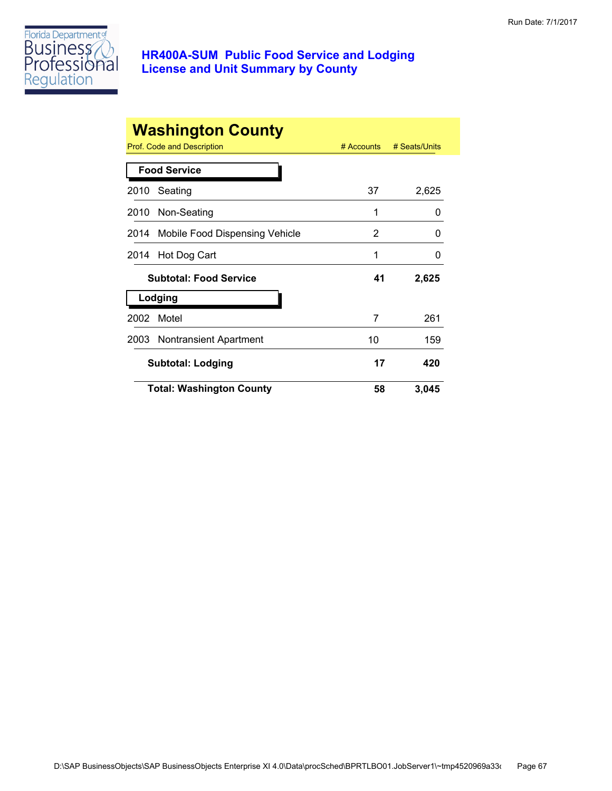

|         | <b>Washington County</b><br>Prof. Code and Description | $#$ Accounts | # Seats/Units |
|---------|--------------------------------------------------------|--------------|---------------|
|         | <b>Food Service</b>                                    |              |               |
| 2010    | Seating                                                | 37           | 2,625         |
|         | 2010 Non-Seating                                       | 1            | 0             |
|         | 2014 Mobile Food Dispensing Vehicle                    | 2            | 0             |
| 2014    | Hot Dog Cart                                           | 1            | O             |
|         | <b>Subtotal: Food Service</b>                          | 41           | 2,625         |
| Lodging |                                                        |              |               |
| 2002    | Motel                                                  | 7            | 261           |
|         | 2003 Nontransient Apartment                            | 10           | 159           |
|         | <b>Subtotal: Lodging</b>                               | 17           | 420           |
|         | <b>Total: Washington County</b>                        | 58           | 3,045         |